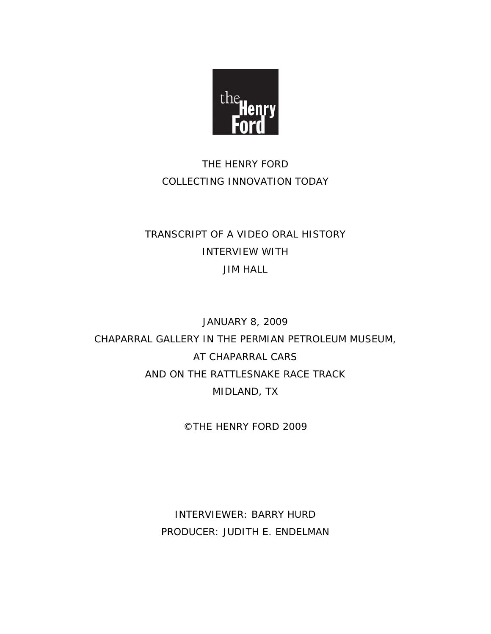

# THE HENRY FORD COLLECTING INNOVATION TODAY

# TRANSCRIPT OF A VIDEO ORAL HISTORY INTERVIEW WITH JIM HALL

# JANUARY 8, 2009 CHAPARRAL GALLERY IN THE PERMIAN PETROLEUM MUSEUM, AT CHAPARRAL CARS AND ON THE RATTLESNAKE RACE TRACK MIDLAND, TX

©THE HENRY FORD 2009

INTERVIEWER: BARRY HURD PRODUCER: JUDITH E. ENDELMAN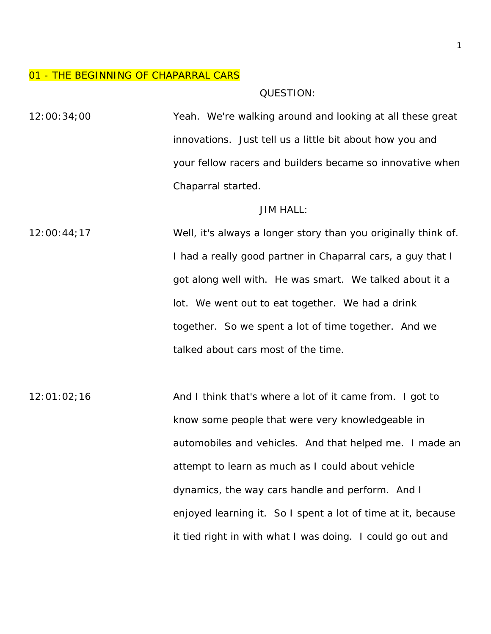#### 01 - THE BEGINNING OF CHAPARRAL CARS

QUESTION:

12:00:34;00 Yeah. We're walking around and looking at all these great innovations. Just tell us a little bit about how you and your fellow racers and builders became so innovative when Chaparral started.

#### JIM HALL:

12:00:44;17 Well, it's always a longer story than you originally think of. I had a really good partner in Chaparral cars, a guy that I got along well with. He was smart. We talked about it a lot. We went out to eat together. We had a drink together. So we spent a lot of time together. And we talked about cars most of the time.

12:01:02;16 And I think that's where a lot of it came from. I got to know some people that were very knowledgeable in automobiles and vehicles. And that helped me. I made an attempt to learn as much as I could about vehicle dynamics, the way cars handle and perform. And I enjoyed learning it. So I spent a lot of time at it, because it tied right in with what I was doing. I could go out and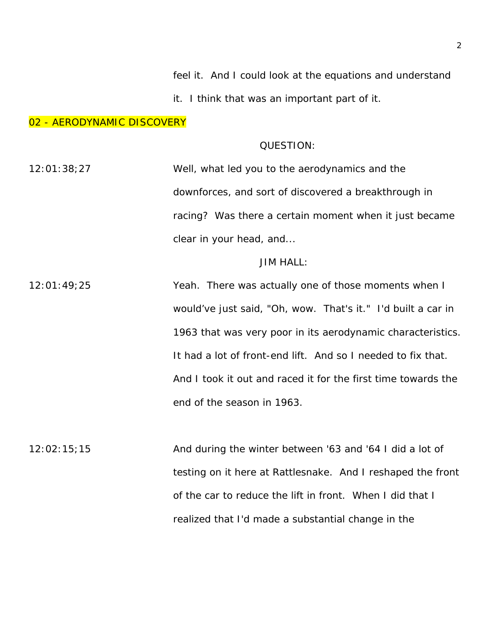feel it. And I could look at the equations and understand

it. I think that was an important part of it.

#### 02 - AERODYNAMIC DISCOVERY

## QUESTION:

12:01:38;27 Well, what led you to the aerodynamics and the downforces, and sort of discovered a breakthrough in racing? Was there a certain moment when it just became clear in your head, and...

## JIM HALL:

12:01:49;25 Yeah. There was actually one of those moments when I would've just said, "Oh, wow. That's it." I'd built a car in 1963 that was very poor in its aerodynamic characteristics. It had a lot of front-end lift. And so I needed to fix that. And I took it out and raced it for the first time towards the end of the season in 1963.

 $12:02:15;15$  And during the winter between '63 and '64 I did a lot of testing on it here at Rattlesnake. And I reshaped the front of the car to reduce the lift in front. When I did that I realized that I'd made a substantial change in the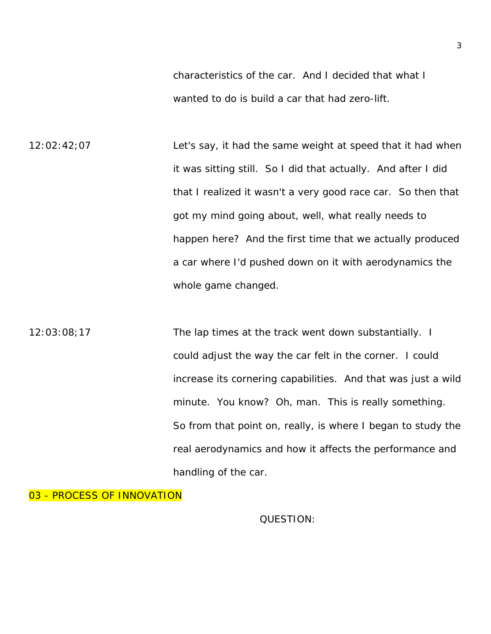characteristics of the car. And I decided that what I wanted to do is build a car that had zero-lift.

12:02:42;07 Let's say, it had the same weight at speed that it had when it was sitting still. So I did that actually. And after I did that I realized it wasn't a very good race car. So then that got my mind going about, well, what really needs to happen here? And the first time that we actually produced a car where I'd pushed down on it with aerodynamics the whole game changed.

12:03:08;17 The lap times at the track went down substantially. I could adjust the way the car felt in the corner. I could increase its cornering capabilities. And that was just a wild minute. You know? Oh, man. This is really something. So from that point on, really, is where I began to study the real aerodynamics and how it affects the performance and handling of the car.

03 - PROCESS OF INNOVATION

QUESTION: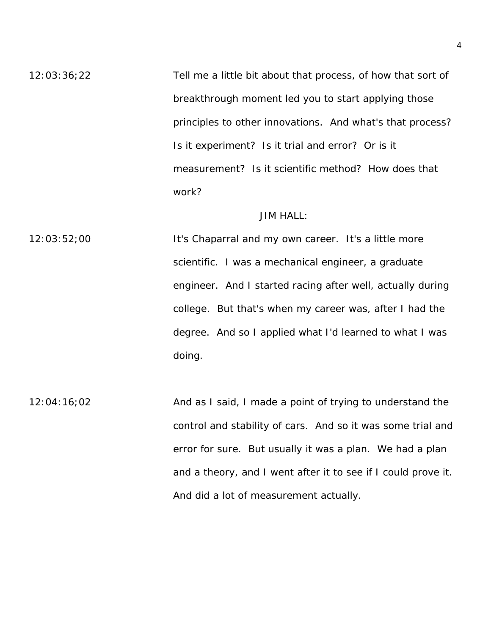12:03:36;22 Tell me a little bit about that process, of how that sort of breakthrough moment led you to start applying those principles to other innovations. And what's that process? Is it experiment? Is it trial and error? Or is it measurement? Is it scientific method? How does that work?

## JIM HALL:

12:03:52;00 **It's Chaparral and my own career.** It's a little more scientific. I was a mechanical engineer, a graduate engineer. And I started racing after well, actually during college. But that's when my career was, after I had the degree. And so I applied what I'd learned to what I was doing.

12:04:16;02 And as I said, I made a point of trying to understand the control and stability of cars. And so it was some trial and error for sure. But usually it was a plan. We had a plan and a theory, and I went after it to see if I could prove it. And did a lot of measurement actually.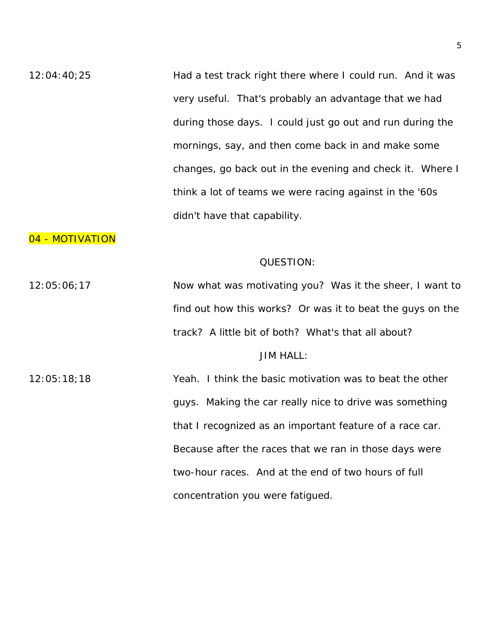12:04:40;25 Had a test track right there where I could run. And it was very useful. That's probably an advantage that we had during those days. I could just go out and run during the mornings, say, and then come back in and make some changes, go back out in the evening and check it. Where I think a lot of teams we were racing against in the '60s didn't have that capability.

## 04 - MOTIVATION

#### QUESTION:

12:05:06;17 Now what was motivating you? Was it the sheer, I want to find out how this works? Or was it to beat the guys on the track? A little bit of both? What's that all about? JIM HALL:

12:05:18;18 Yeah. I think the basic motivation was to beat the other guys. Making the car really nice to drive was something that I recognized as an important feature of a race car. Because after the races that we ran in those days were two-hour races. And at the end of two hours of full concentration you were fatigued.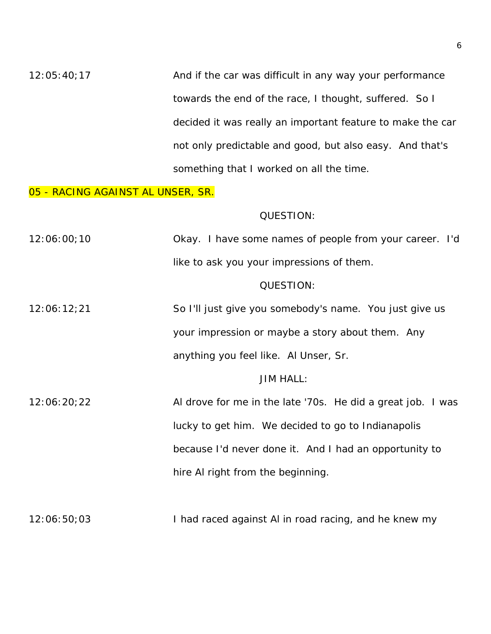$12:05:40;17$  And if the car was difficult in any way your performance towards the end of the race, I thought, suffered. So I decided it was really an important feature to make the car not only predictable and good, but also easy. And that's something that I worked on all the time.

#### 05 - RACING AGAINST AL UNSER, SR.

#### QUESTION:

| 12:06:00;10 | Okay. I have some names of people from your career. I'd |  |
|-------------|---------------------------------------------------------|--|
|             | like to ask you your impressions of them.               |  |

#### QUESTION:

12:06:12;21 So I'll just give you somebody's name. You just give us your impression or maybe a story about them. Any anything you feel like. Al Unser, Sr.

#### JIM HALL:

12:06:20;22 Al drove for me in the late '70s. He did a great job. I was lucky to get him. We decided to go to Indianapolis because I'd never done it. And I had an opportunity to hire Al right from the beginning.

12:06:50;03 I had raced against AI in road racing, and he knew my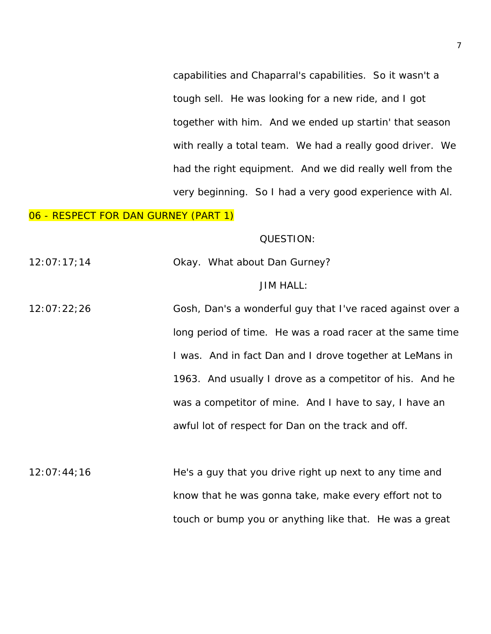capabilities and Chaparral's capabilities. So it wasn't a tough sell. He was looking for a new ride, and I got together with him. And we ended up startin' that season with really a total team. We had a really good driver. We had the right equipment. And we did really well from the very beginning. So I had a very good experience with Al.

## 06 - RESPECT FOR DAN GURNEY (PART 1)

#### QUESTION:

12:07:17;14 Okay. What about Dan Gurney?

#### JIM HALL:

12:07:22;26 Gosh, Dan's a wonderful guy that I've raced against over a long period of time. He was a road racer at the same time I was. And in fact Dan and I drove together at LeMans in 1963. And usually I drove as a competitor of his. And he was a competitor of mine. And I have to say, I have an awful lot of respect for Dan on the track and off.

12:07:44;16 He's a guy that you drive right up next to any time and know that he was gonna take, make every effort not to touch or bump you or anything like that. He was a great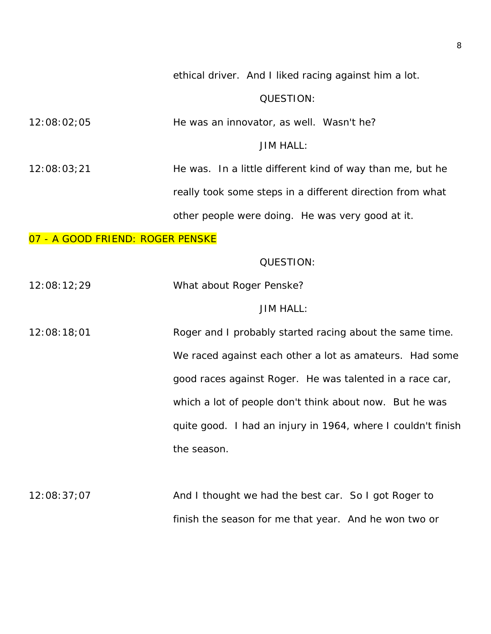ethical driver. And I liked racing against him a lot.

## QUESTION:

12:08:02;05 He was an innovator, as well. Wasn't he?

## JIM HALL:

12:08:03;21 He was. In a little different kind of way than me, but he really took some steps in a different direction from what other people were doing. He was very good at it.

## 07 - A GOOD FRIEND: ROGER PENSKE

#### QUESTION:

12:08:12;29 What about Roger Penske?

#### JIM HALL:

12:08:18;01 Roger and I probably started racing about the same time. We raced against each other a lot as amateurs. Had some good races against Roger. He was talented in a race car, which a lot of people don't think about now. But he was quite good. I had an injury in 1964, where I couldn't finish the season.

12:08:37;07 And I thought we had the best car. So I got Roger to finish the season for me that year. And he won two or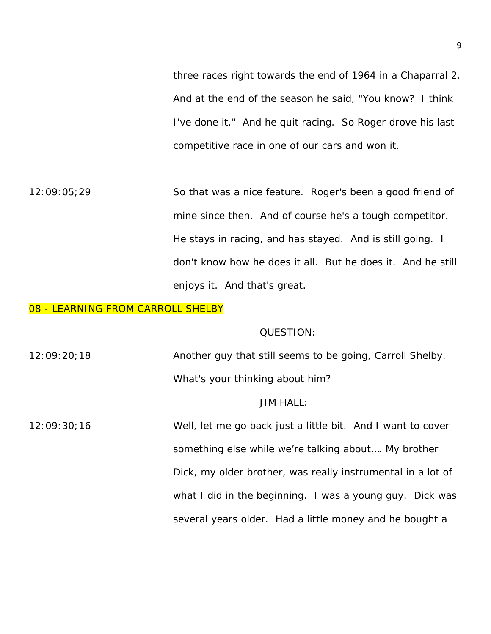three races right towards the end of 1964 in a Chaparral 2. And at the end of the season he said, "You know? I think I've done it." And he quit racing. So Roger drove his last competitive race in one of our cars and won it.

12:09:05;29 So that was a nice feature. Roger's been a good friend of mine since then. And of course he's a tough competitor. He stays in racing, and has stayed. And is still going. I don't know how he does it all. But he does it. And he still enjoys it. And that's great.

#### 08 - LEARNING FROM CARROLL SHELBY

#### QUESTION:

12:09:20;18 Another guy that still seems to be going, Carroll Shelby. What's your thinking about him?

## JIM HALL:

12:09:30;16 Well, let me go back just a little bit. And I want to cover something else while we're talking about…. My brother Dick, my older brother, was really instrumental in a lot of what I did in the beginning. I was a young guy. Dick was several years older. Had a little money and he bought a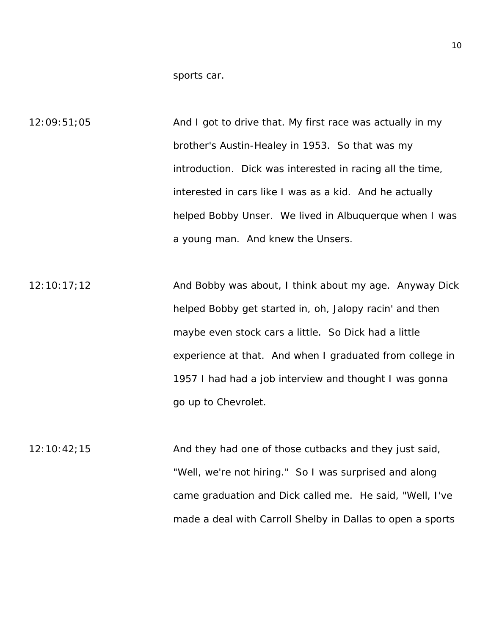sports car.

12:09:51;05 And I got to drive that. My first race was actually in my brother's Austin-Healey in 1953. So that was my introduction. Dick was interested in racing all the time, interested in cars like I was as a kid. And he actually helped Bobby Unser. We lived in Albuquerque when I was a young man. And knew the Unsers.

 $12:10:17;12$  And Bobby was about, I think about my age. Anyway Dick helped Bobby get started in, oh, Jalopy racin' and then maybe even stock cars a little. So Dick had a little experience at that. And when I graduated from college in 1957 I had had a job interview and thought I was gonna go up to Chevrolet.

12:10:42;15 And they had one of those cutbacks and they just said, "Well, we're not hiring." So I was surprised and along came graduation and Dick called me. He said, "Well, I've made a deal with Carroll Shelby in Dallas to open a sports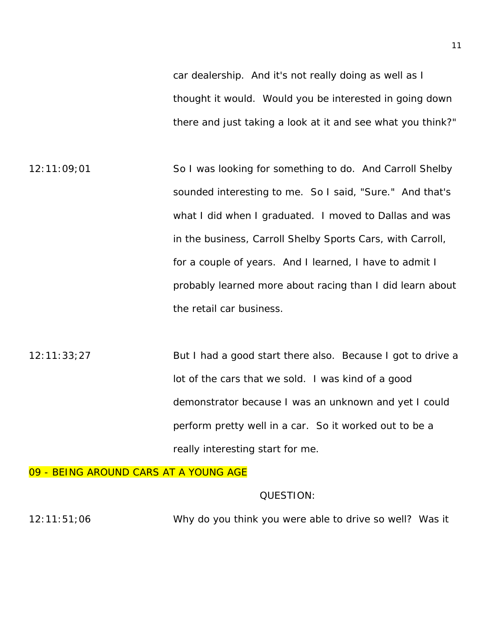car dealership. And it's not really doing as well as I thought it would. Would you be interested in going down there and just taking a look at it and see what you think?"

12:11:09;01 So I was looking for something to do. And Carroll Shelby sounded interesting to me. So I said, "Sure." And that's what I did when I graduated. I moved to Dallas and was in the business, Carroll Shelby Sports Cars, with Carroll, for a couple of years. And I learned, I have to admit I probably learned more about racing than I did learn about the retail car business.

12:11:33;27 But I had a good start there also. Because I got to drive a lot of the cars that we sold. I was kind of a good demonstrator because I was an unknown and yet I could perform pretty well in a car. So it worked out to be a really interesting start for me.

09 - BEING AROUND CARS AT A YOUNG AGE

## QUESTION:

12:11:51;06 Why do you think you were able to drive so well? Was it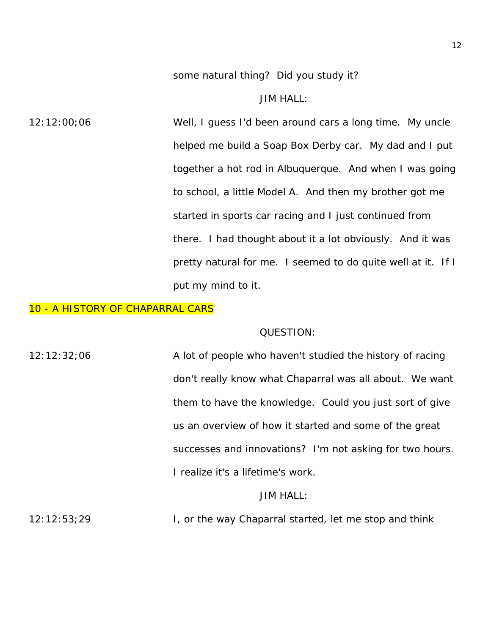some natural thing? Did you study it?

JIM HALL:

12:12:00;06 Well, I guess I'd been around cars a long time. My uncle helped me build a Soap Box Derby car. My dad and I put together a hot rod in Albuquerque. And when I was going to school, a little Model A. And then my brother got me started in sports car racing and I just continued from there. I had thought about it a lot obviously. And it was pretty natural for me. I seemed to do quite well at it. If I put my mind to it.

#### 10 - A HISTORY OF CHAPARRAL CARS

#### QUESTION:

12:12:32;06 A lot of people who haven't studied the history of racing don't really know what Chaparral was all about. We want them to have the knowledge. Could you just sort of give us an overview of how it started and some of the great successes and innovations? I'm not asking for two hours. I realize it's a lifetime's work.

## JIM HALL:

12:12:53;29 I, or the way Chaparral started, let me stop and think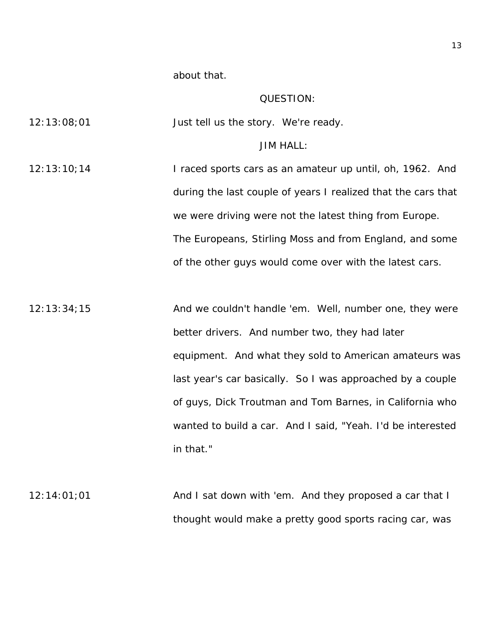about that.

## QUESTION:

| 12:13:08;01 | Just tell us the story. We're ready.                          |
|-------------|---------------------------------------------------------------|
|             | <b>JIM HALL:</b>                                              |
| 12:13:10;14 | I raced sports cars as an amateur up until, oh, 1962. And     |
|             | during the last couple of years I realized that the cars that |
|             | we were driving were not the latest thing from Europe.        |
|             | The Europeans, Stirling Moss and from England, and some       |
|             | of the other guys would come over with the latest cars.       |
|             |                                                               |
| 12:13:34:15 | And we couldn't handle 'em. Well, number one, they were       |
|             | better drivers. And number two, they had later                |
|             | equipment. And what they sold to American amateurs was        |
|             | last year's car basically. So I was approached by a couple    |
|             | of guys, Dick Troutman and Tom Barnes, in California who      |
|             | wanted to build a car. And I said, "Yeah. I'd be interested   |
|             | in that."                                                     |
|             |                                                               |
| 12:14:01;01 | And I sat down with 'em. And they proposed a car that I       |
|             | thought would make a pretty good sports racing car, was       |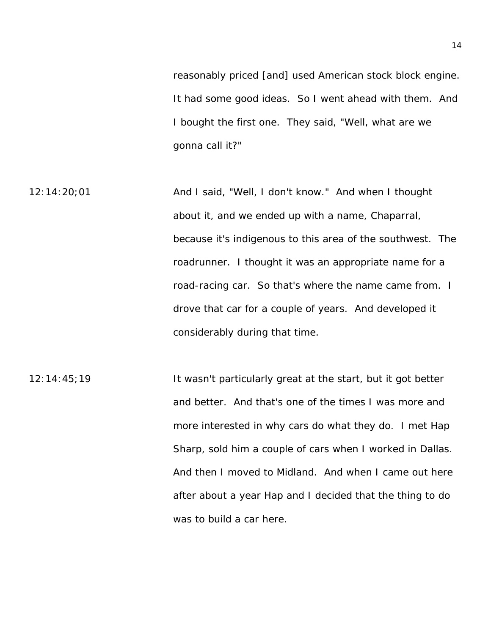reasonably priced [and] used American stock block engine. It had some good ideas. So I went ahead with them. And I bought the first one. They said, "Well, what are we gonna call it?"

12:14:20;01 And I said, "Well, I don't know." And when I thought about it, and we ended up with a name, Chaparral, because it's indigenous to this area of the southwest. The roadrunner. I thought it was an appropriate name for a road-racing car. So that's where the name came from. I drove that car for a couple of years. And developed it considerably during that time.

12:14:45;19 It wasn't particularly great at the start, but it got better and better. And that's one of the times I was more and more interested in why cars do what they do. I met Hap Sharp, sold him a couple of cars when I worked in Dallas. And then I moved to Midland. And when I came out here after about a year Hap and I decided that the thing to do was to build a car here.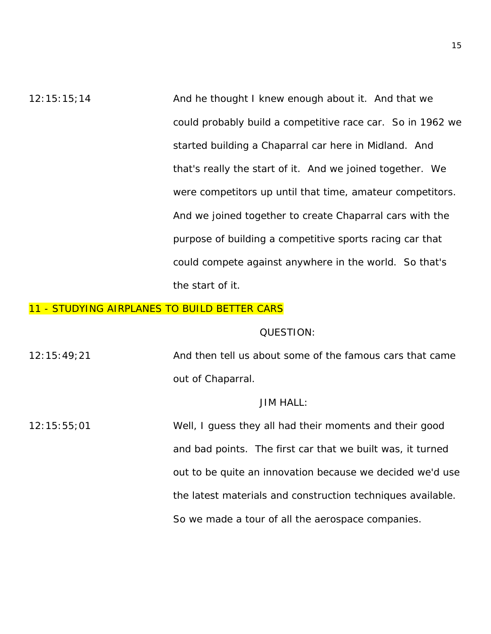12:15:15;14 And he thought I knew enough about it. And that we could probably build a competitive race car. So in 1962 we started building a Chaparral car here in Midland. And that's really the start of it. And we joined together. We were competitors up until that time, amateur competitors. And we joined together to create Chaparral cars with the purpose of building a competitive sports racing car that could compete against anywhere in the world. So that's the start of it.

## 11 - STUDYING AIRPLANES TO BUILD BETTER CARS

#### QUESTION:

12:15:49;21 And then tell us about some of the famous cars that came out of Chaparral.

## JIM HALL:

12:15:55;01 Well, I guess they all had their moments and their good and bad points. The first car that we built was, it turned out to be quite an innovation because we decided we'd use the latest materials and construction techniques available. So we made a tour of all the aerospace companies.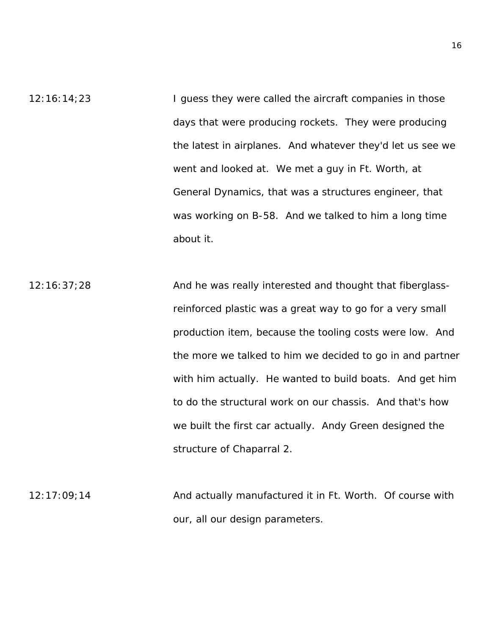- 12:16:14;23 I guess they were called the aircraft companies in those days that were producing rockets. They were producing the latest in airplanes. And whatever they'd let us see we went and looked at. We met a guy in Ft. Worth, at General Dynamics, that was a structures engineer, that was working on B-58. And we talked to him a long time about it.
- 12:16:37;28 And he was really interested and thought that fiberglassreinforced plastic was a great way to go for a very small production item, because the tooling costs were low. And the more we talked to him we decided to go in and partner with him actually. He wanted to build boats. And get him to do the structural work on our chassis. And that's how we built the first car actually. Andy Green designed the structure of Chaparral 2.
- 12:17:09;14 And actually manufactured it in Ft. Worth. Of course with our, all our design parameters.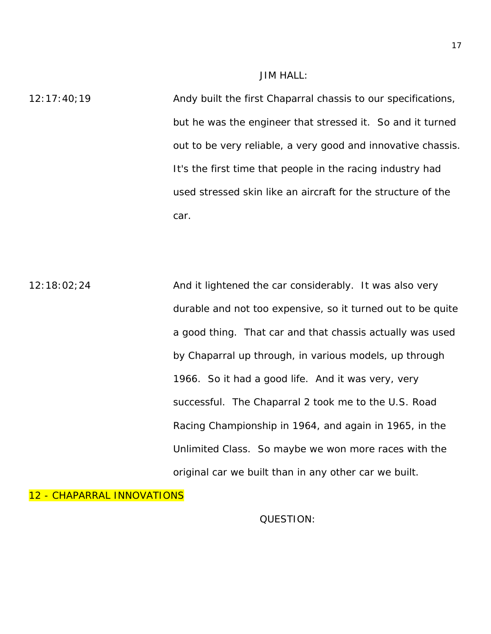#### JIM HALL:

12:17:40;19 Andy built the first Chaparral chassis to our specifications, but he was the engineer that stressed it. So and it turned out to be very reliable, a very good and innovative chassis. It's the first time that people in the racing industry had used stressed skin like an aircraft for the structure of the car.

12:18:02;24 And it lightened the car considerably. It was also very durable and not too expensive, so it turned out to be quite a good thing. That car and that chassis actually was used by Chaparral up through, in various models, up through 1966. So it had a good life. And it was very, very successful. The Chaparral 2 took me to the U.S. Road Racing Championship in 1964, and again in 1965, in the Unlimited Class. So maybe we won more races with the original car we built than in any other car we built.

#### 12 - CHAPARRAL INNOVATIONS

QUESTION: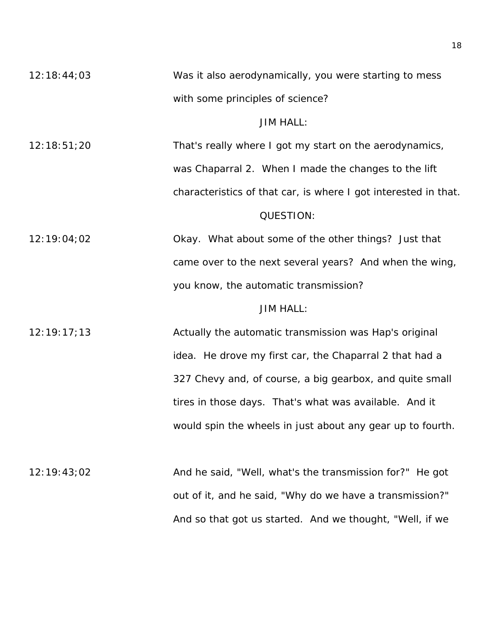12:18:44;03 Was it also aerodynamically, you were starting to mess with some principles of science?

## JIM HALL:

12:18:51;20 That's really where I got my start on the aerodynamics, was Chaparral 2. When I made the changes to the lift characteristics of that car, is where I got interested in that. QUESTION:

12:19:04;02 Okay. What about some of the other things? Just that came over to the next several years? And when the wing, you know, the automatic transmission?

## JIM HALL:

12:19:17;13 Actually the automatic transmission was Hap's original idea. He drove my first car, the Chaparral 2 that had a 327 Chevy and, of course, a big gearbox, and quite small tires in those days. That's what was available. And it would spin the wheels in just about any gear up to fourth.

12:19:43;02 And he said, "Well, what's the transmission for?" He got out of it, and he said, "Why do we have a transmission?" And so that got us started. And we thought, "Well, if we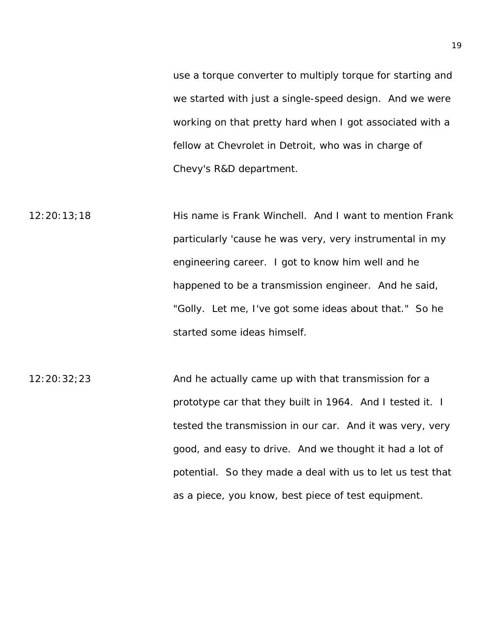use a torque converter to multiply torque for starting and we started with just a single-speed design. And we were working on that pretty hard when I got associated with a fellow at Chevrolet in Detroit, who was in charge of Chevy's R&D department.

12:20:13;18 His name is Frank Winchell. And I want to mention Frank particularly 'cause he was very, very instrumental in my engineering career. I got to know him well and he happened to be a transmission engineer. And he said, "Golly. Let me, I've got some ideas about that." So he started some ideas himself.

12:20:32;23 And he actually came up with that transmission for a prototype car that they built in 1964. And I tested it. I tested the transmission in our car. And it was very, very good, and easy to drive. And we thought it had a lot of potential. So they made a deal with us to let us test that as a piece, you know, best piece of test equipment.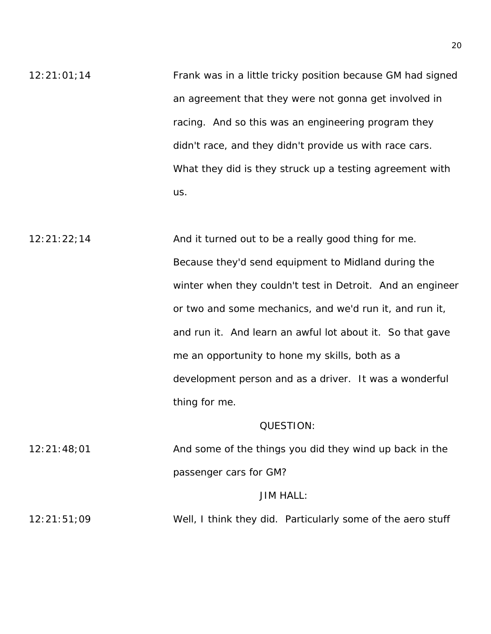12:21:01;14 Frank was in a little tricky position because GM had signed an agreement that they were not gonna get involved in racing. And so this was an engineering program they didn't race, and they didn't provide us with race cars. What they did is they struck up a testing agreement with us.

12:21:22;14 And it turned out to be a really good thing for me. Because they'd send equipment to Midland during the winter when they couldn't test in Detroit. And an engineer or two and some mechanics, and we'd run it, and run it, and run it. And learn an awful lot about it. So that gave me an opportunity to hone my skills, both as a development person and as a driver. It was a wonderful thing for me.

#### QUESTION:

12:21:48;01 And some of the things you did they wind up back in the passenger cars for GM?

## JIM HALL:

12:21:51;09 Well, I think they did. Particularly some of the aero stuff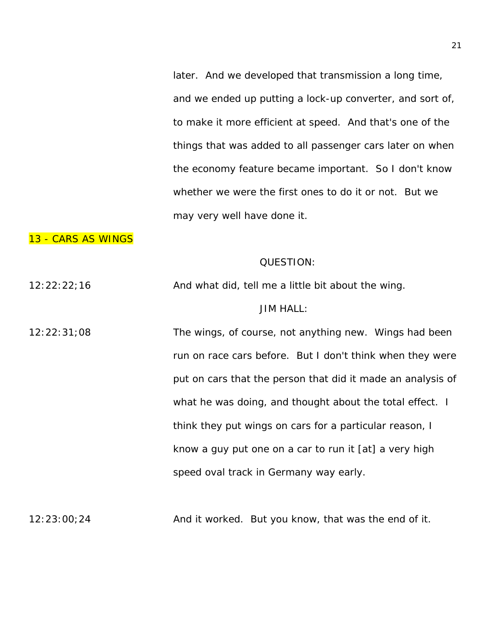later. And we developed that transmission a long time, and we ended up putting a lock-up converter, and sort of, to make it more efficient at speed. And that's one of the things that was added to all passenger cars later on when the economy feature became important. So I don't know whether we were the first ones to do it or not. But we may very well have done it.

## 13 - CARS AS WINGS

#### QUESTION:

12:22:22;16 And what did, tell me a little bit about the wing.

#### JIM HALL:

12:22:31;08 The wings, of course, not anything new. Wings had been run on race cars before. But I don't think when they were put on cars that the person that did it made an analysis of what he was doing, and thought about the total effect. I think they put wings on cars for a particular reason, I know a guy put one on a car to run it [at] a very high speed oval track in Germany way early.

12:23:00;24 And it worked. But you know, that was the end of it.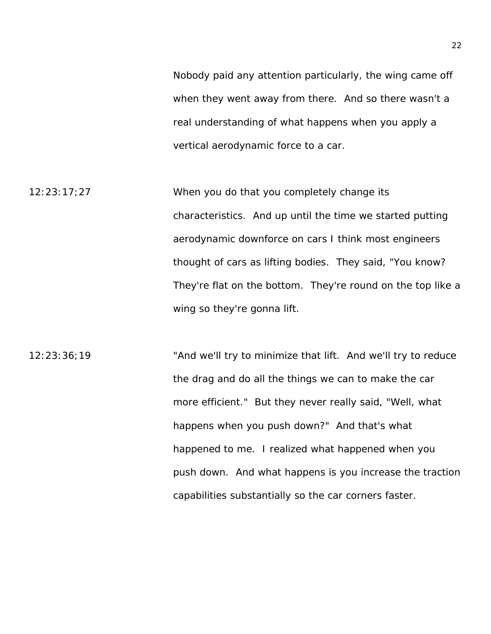Nobody paid any attention particularly, the wing came off when they went away from there. And so there wasn't a real understanding of what happens when you apply a vertical aerodynamic force to a car.

12:23:17;27 When you do that you completely change its characteristics. And up until the time we started putting aerodynamic downforce on cars I think most engineers thought of cars as lifting bodies. They said, "You know? They're flat on the bottom. They're round on the top like a wing so they're gonna lift.

12:23:36;19 "And we'll try to minimize that lift. And we'll try to reduce the drag and do all the things we can to make the car more efficient." But they never really said, "Well, what happens when you push down?" And that's what happened to me. I realized what happened when you push down. And what happens is you increase the traction capabilities substantially so the car corners faster.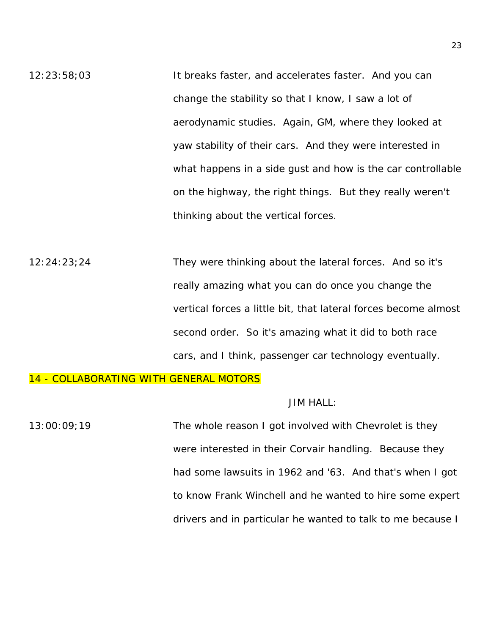12:23:58;03 It breaks faster, and accelerates faster. And you can change the stability so that I know, I saw a lot of aerodynamic studies. Again, GM, where they looked at yaw stability of their cars. And they were interested in what happens in a side gust and how is the car controllable on the highway, the right things. But they really weren't thinking about the vertical forces.

12:24:23;24 They were thinking about the lateral forces. And so it's really amazing what you can do once you change the vertical forces a little bit, that lateral forces become almost second order. So it's amazing what it did to both race cars, and I think, passenger car technology eventually.

## 14 - COLLABORATING WITH GENERAL MOTORS

#### JIM HALL:

13:00:09;19 The whole reason I got involved with Chevrolet is they were interested in their Corvair handling. Because they had some lawsuits in 1962 and '63. And that's when I got to know Frank Winchell and he wanted to hire some expert drivers and in particular he wanted to talk to me because I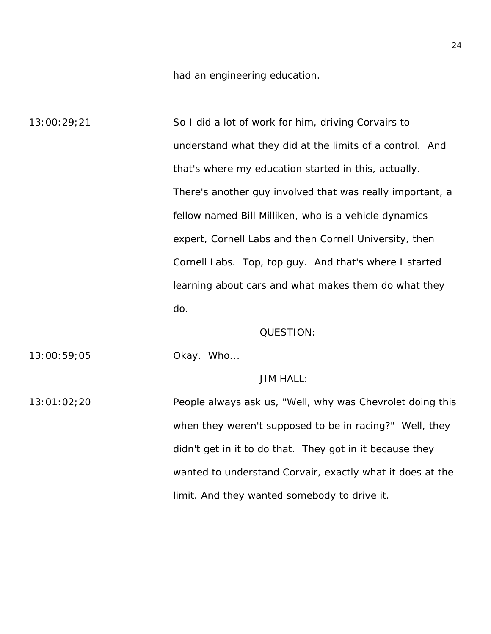had an engineering education.

13:00:29;21 So I did a lot of work for him, driving Corvairs to understand what they did at the limits of a control. And that's where my education started in this, actually. There's another guy involved that was really important, a fellow named Bill Milliken, who is a vehicle dynamics expert, Cornell Labs and then Cornell University, then Cornell Labs. Top, top guy. And that's where I started learning about cars and what makes them do what they do.

#### QUESTION:

13:00:59;05 Okay. Who...

#### JIM HALL:

13:01:02;20 People always ask us, "Well, why was Chevrolet doing this when they weren't supposed to be in racing?" Well, they didn't get in it to do that. They got in it because they wanted to understand Corvair, exactly what it does at the limit. And they wanted somebody to drive it.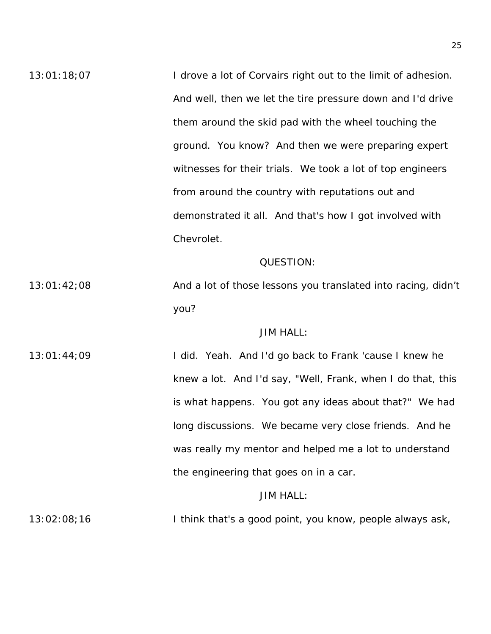13:01:18:07 I drove a lot of Corvairs right out to the limit of adhesion. And well, then we let the tire pressure down and I'd drive them around the skid pad with the wheel touching the ground. You know? And then we were preparing expert witnesses for their trials. We took a lot of top engineers from around the country with reputations out and demonstrated it all. And that's how I got involved with Chevrolet.

#### QUESTION:

13:01:42;08 And a lot of those lessons you translated into racing, didn't you?

## JIM HALL:

13:01:44;09 I did. Yeah. And I'd go back to Frank 'cause I knew he knew a lot. And I'd say, "Well, Frank, when I do that, this is what happens. You got any ideas about that?" We had long discussions. We became very close friends. And he was really my mentor and helped me a lot to understand the engineering that goes on in a car.

## JIM HALL:

13:02:08;16 I think that's a good point, you know, people always ask,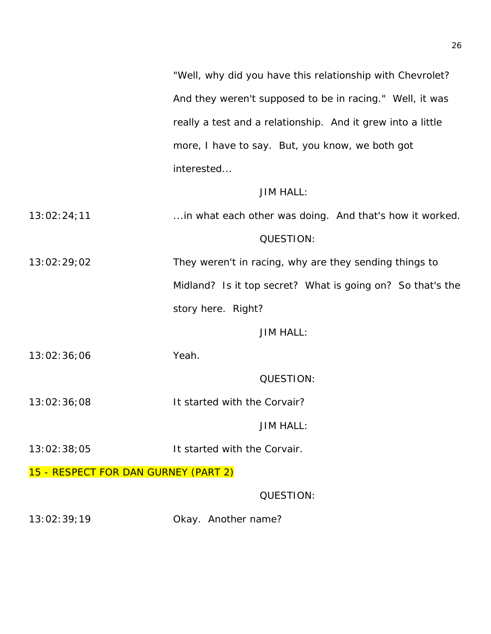"Well, why did you have this relationship with Chevrolet? And they weren't supposed to be in racing." Well, it was really a test and a relationship. And it grew into a little more, I have to say. But, you know, we both got interested...

## JIM HALL:

13:02:24;11 ...in what each other was doing. And that's how it worked. QUESTION: 13:02:29;02 They weren't in racing, why are they sending things to Midland? Is it top secret? What is going on? So that's the

story here. Right?

## JIM HALL:

13:02:36;06 Yeah.

QUESTION:

13:02:36;08 It started with the Corvair?

JIM HALL:

- 13:02:38;05 It started with the Corvair.
- 15 RESPECT FOR DAN GURNEY (PART 2)

QUESTION:

13:02:39;19 Okay. Another name?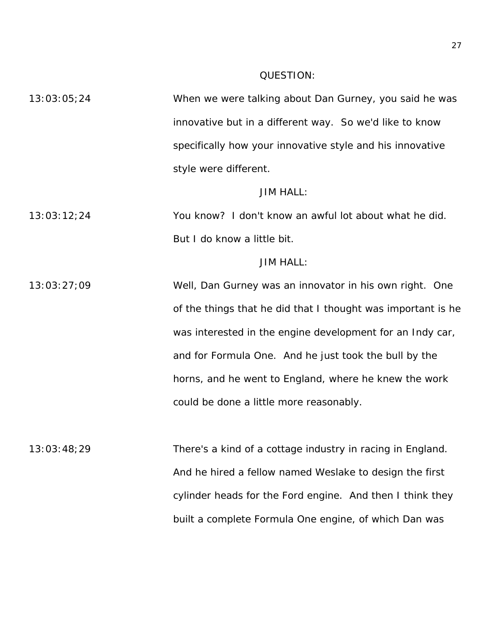#### QUESTION:

13:03:05;24 When we were talking about Dan Gurney, you said he was innovative but in a different way. So we'd like to know specifically how your innovative style and his innovative style were different.

#### JIM HALL:

13:03:12;24 You know? I don't know an awful lot about what he did. But I do know a little bit.

## JIM HALL:

13:03:27;09 Well, Dan Gurney was an innovator in his own right. One of the things that he did that I thought was important is he was interested in the engine development for an Indy car, and for Formula One. And he just took the bull by the horns, and he went to England, where he knew the work could be done a little more reasonably.

13:03:48;29 There's a kind of a cottage industry in racing in England. And he hired a fellow named Weslake to design the first cylinder heads for the Ford engine. And then I think they built a complete Formula One engine, of which Dan was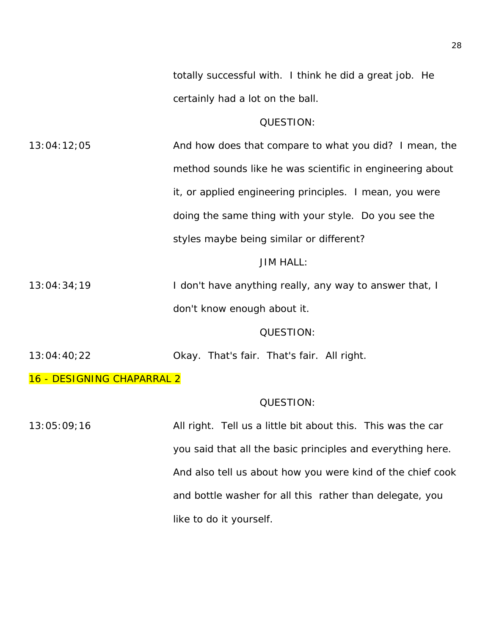totally successful with. I think he did a great job. He certainly had a lot on the ball.

#### QUESTION:

13:04:12;05 And how does that compare to what you did? I mean, the method sounds like he was scientific in engineering about it, or applied engineering principles. I mean, you were doing the same thing with your style. Do you see the styles maybe being similar or different?

#### JIM HALL:

13:04:34;19 **I don't have anything really, any way to answer that, I** don't know enough about it.

#### QUESTION:

13:04:40;22 Okay. That's fair. That's fair. All right.

16 - DESIGNING CHAPARRAL 2

#### QUESTION:

13:05:09;16 All right. Tell us a little bit about this. This was the car you said that all the basic principles and everything here. And also tell us about how you were kind of the chief cook and bottle washer for all this rather than delegate, you like to do it yourself.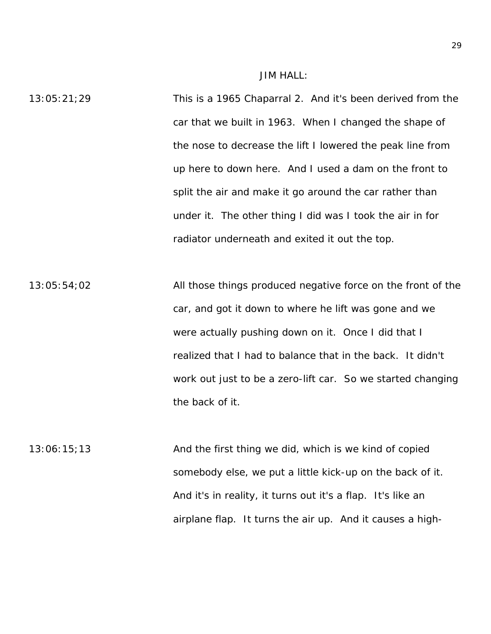JIM HALL:

13:05:21;29 This is a 1965 Chaparral 2. And it's been derived from the car that we built in 1963. When I changed the shape of the nose to decrease the lift I lowered the peak line from up here to down here. And I used a dam on the front to split the air and make it go around the car rather than under it. The other thing I did was I took the air in for radiator underneath and exited it out the top.

13:05:54;02 All those things produced negative force on the front of the car, and got it down to where he lift was gone and we were actually pushing down on it. Once I did that I realized that I had to balance that in the back. It didn't work out just to be a zero-lift car. So we started changing the back of it.

 $13:06:15;13$  And the first thing we did, which is we kind of copied somebody else, we put a little kick-up on the back of it. And it's in reality, it turns out it's a flap. It's like an airplane flap. It turns the air up. And it causes a high-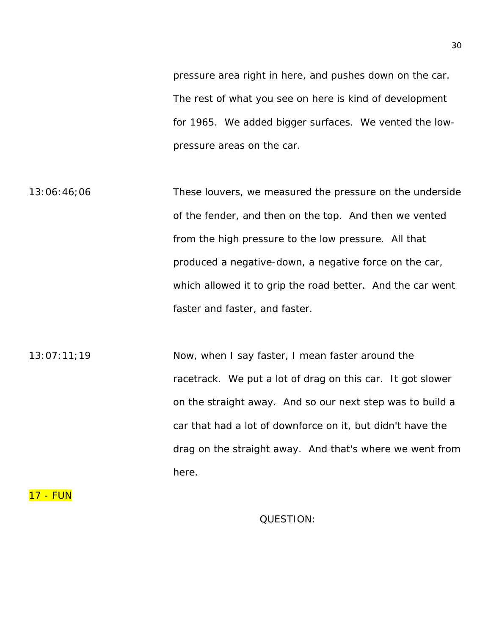pressure area right in here, and pushes down on the car. The rest of what you see on here is kind of development for 1965. We added bigger surfaces. We vented the lowpressure areas on the car.

13:06:46;06 These louvers, we measured the pressure on the underside of the fender, and then on the top. And then we vented from the high pressure to the low pressure. All that produced a negative-down, a negative force on the car, which allowed it to grip the road better. And the car went faster and faster, and faster.

13:07:11;19 Now, when I say faster, I mean faster around the racetrack. We put a lot of drag on this car. It got slower on the straight away. And so our next step was to build a car that had a lot of downforce on it, but didn't have the drag on the straight away. And that's where we went from here.

17 - FUN

QUESTION: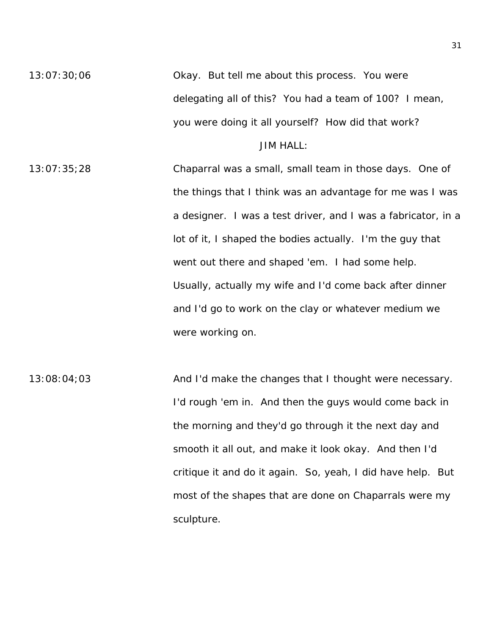13:07:30;06 Okay. But tell me about this process. You were delegating all of this? You had a team of 100? I mean, you were doing it all yourself? How did that work?

JIM HALL:

- 13:07:35;28 Chaparral was a small, small team in those days. One of the things that I think was an advantage for me was I was a designer. I was a test driver, and I was a fabricator, in a lot of it, I shaped the bodies actually. I'm the guy that went out there and shaped 'em. I had some help. Usually, actually my wife and I'd come back after dinner and I'd go to work on the clay or whatever medium we were working on.
- 13:08:04;03 And I'd make the changes that I thought were necessary. I'd rough 'em in. And then the guys would come back in the morning and they'd go through it the next day and smooth it all out, and make it look okay. And then I'd critique it and do it again. So, yeah, I did have help. But most of the shapes that are done on Chaparrals were my sculpture.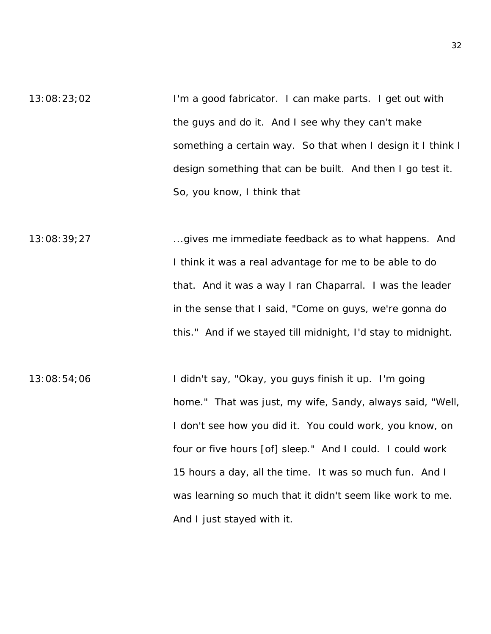- 13:08:23;02 I'm a good fabricator. I can make parts. I get out with the guys and do it. And I see why they can't make something a certain way. So that when I design it I think I design something that can be built. And then I go test it. So, you know, I think that
- 13:08:39;27 ...gives me immediate feedback as to what happens. And I think it was a real advantage for me to be able to do that. And it was a way I ran Chaparral. I was the leader in the sense that I said, "Come on guys, we're gonna do this." And if we stayed till midnight, I'd stay to midnight.
- 13:08:54;06 I didn't say, "Okay, you guys finish it up. I'm going home." That was just, my wife, Sandy, always said, "Well, I don't see how you did it. You could work, you know, on four or five hours [of] sleep." And I could. I could work 15 hours a day, all the time. It was so much fun. And I was learning so much that it didn't seem like work to me. And I just stayed with it.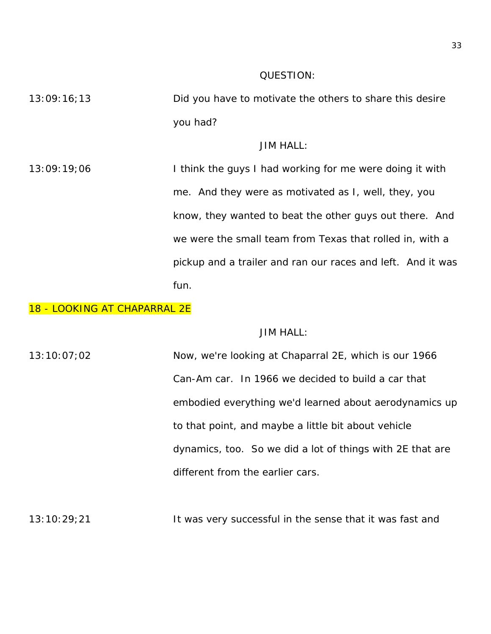## QUESTION:

13:09:16;13 Did you have to motivate the others to share this desire you had?

JIM HALL:

13:09:19;06 I think the guys I had working for me were doing it with me. And they were as motivated as I, well, they, you know, they wanted to beat the other guys out there. And we were the small team from Texas that rolled in, with a pickup and a trailer and ran our races and left. And it was fun.

#### 18 - LOOKING AT CHAPARRAL 2E

## JIM HALL:

13:10:07;02 Now, we're looking at Chaparral 2E, which is our 1966 Can-Am car. In 1966 we decided to build a car that embodied everything we'd learned about aerodynamics up to that point, and maybe a little bit about vehicle dynamics, too. So we did a lot of things with 2E that are different from the earlier cars.

13:10:29;21 It was very successful in the sense that it was fast and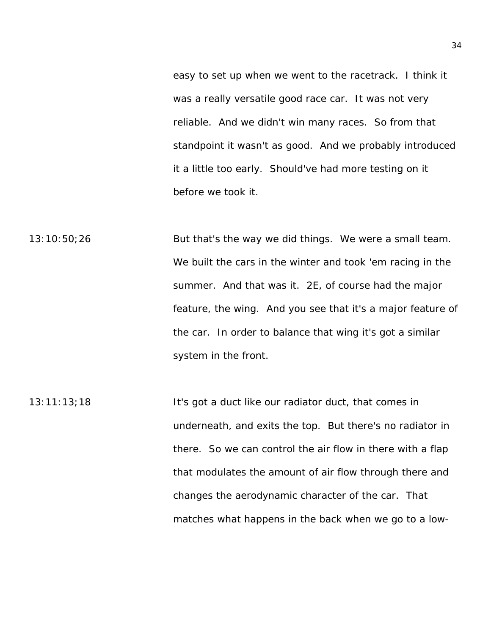easy to set up when we went to the racetrack. I think it was a really versatile good race car. It was not very reliable. And we didn't win many races. So from that standpoint it wasn't as good. And we probably introduced it a little too early. Should've had more testing on it before we took it.

13:10:50;26 But that's the way we did things. We were a small team. We built the cars in the winter and took 'em racing in the summer. And that was it. 2E, of course had the major feature, the wing. And you see that it's a major feature of the car. In order to balance that wing it's got a similar system in the front.

13:11:13;18 It's got a duct like our radiator duct, that comes in underneath, and exits the top. But there's no radiator in there. So we can control the air flow in there with a flap that modulates the amount of air flow through there and changes the aerodynamic character of the car. That matches what happens in the back when we go to a low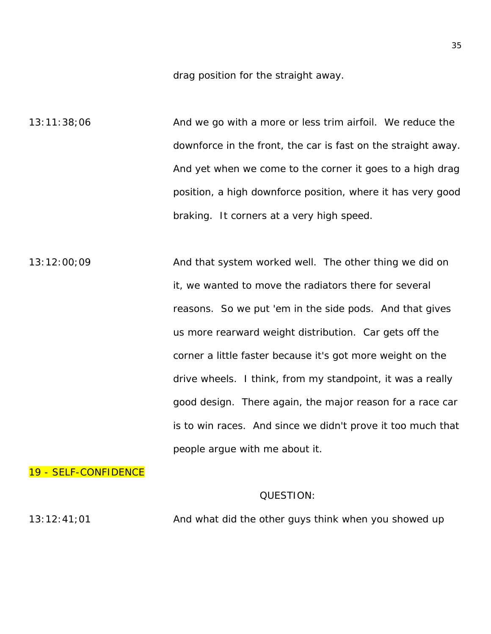drag position for the straight away.

13:11:38;06 And we go with a more or less trim airfoil. We reduce the downforce in the front, the car is fast on the straight away. And yet when we come to the corner it goes to a high drag position, a high downforce position, where it has very good braking. It corners at a very high speed.

13:12:00;09 And that system worked well. The other thing we did on it, we wanted to move the radiators there for several reasons. So we put 'em in the side pods. And that gives us more rearward weight distribution. Car gets off the corner a little faster because it's got more weight on the drive wheels. I think, from my standpoint, it was a really good design. There again, the major reason for a race car is to win races. And since we didn't prove it too much that people argue with me about it.

19 - SELF-CONFIDENCE

## QUESTION:

 $13:12:41;01$  And what did the other guys think when you showed up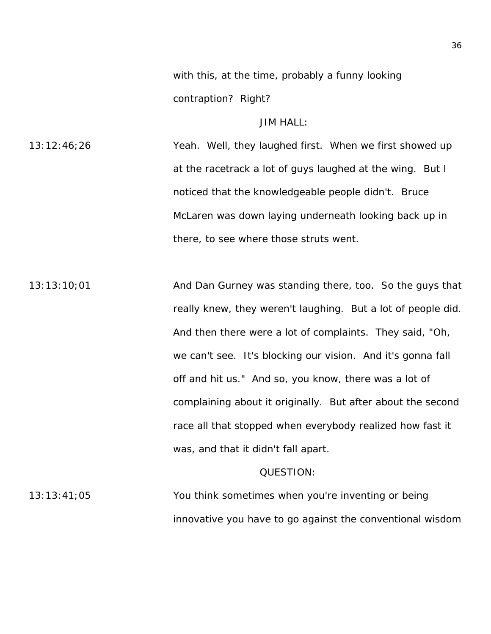with this, at the time, probably a funny looking contraption? Right?

## JIM HALL:

13:12:46;26 Yeah. Well, they laughed first. When we first showed up at the racetrack a lot of guys laughed at the wing. But I noticed that the knowledgeable people didn't. Bruce McLaren was down laying underneath looking back up in there, to see where those struts went.

13:13:10;01 And Dan Gurney was standing there, too. So the guys that really knew, they weren't laughing. But a lot of people did. And then there were a lot of complaints. They said, "Oh, we can't see. It's blocking our vision. And it's gonna fall off and hit us." And so, you know, there was a lot of complaining about it originally. But after about the second race all that stopped when everybody realized how fast it was, and that it didn't fall apart.

#### QUESTION:

13:13:41;05 You think sometimes when you're inventing or being innovative you have to go against the conventional wisdom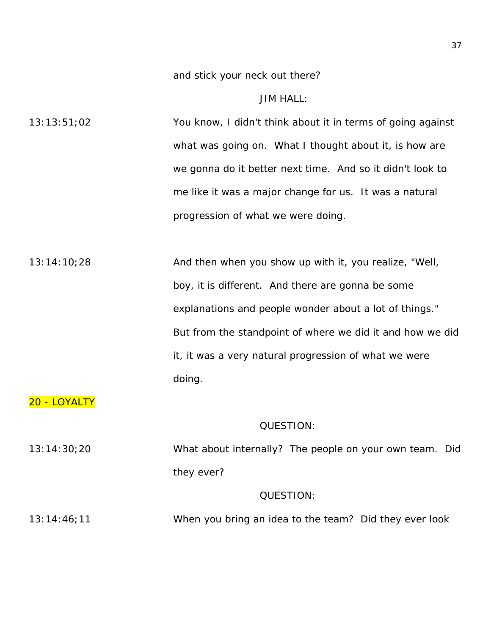and stick your neck out there?

JIM HALL:

13:13:51;02 You know, I didn't think about it in terms of going against what was going on. What I thought about it, is how are we gonna do it better next time. And so it didn't look to me like it was a major change for us. It was a natural progression of what we were doing.

13:14:10;28 And then when you show up with it, you realize, "Well, boy, it is different. And there are gonna be some explanations and people wonder about a lot of things." But from the standpoint of where we did it and how we did it, it was a very natural progression of what we were doing.

# 20 - LOYALTY

#### QUESTION:

13:14:30;20 What about internally? The people on your own team. Did they ever? QUESTION:

13:14:46;11 When you bring an idea to the team? Did they ever look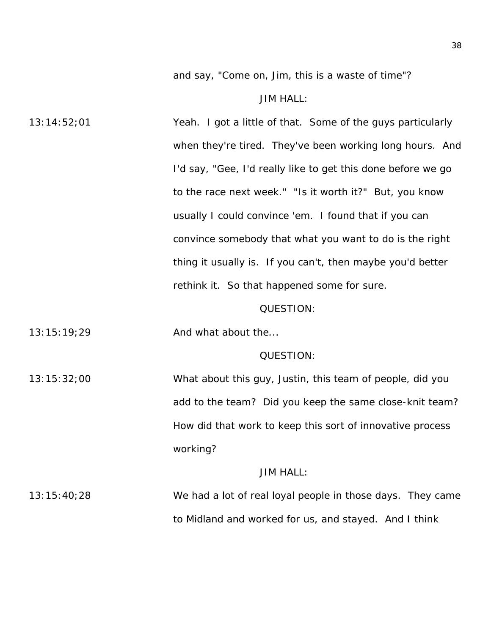and say, "Come on, Jim, this is a waste of time"?

#### JIM HALL:

13:14:52;01 Yeah. I got a little of that. Some of the guys particularly when they're tired. They've been working long hours. And I'd say, "Gee, I'd really like to get this done before we go to the race next week." "Is it worth it?" But, you know usually I could convince 'em. I found that if you can convince somebody that what you want to do is the right thing it usually is. If you can't, then maybe you'd better rethink it. So that happened some for sure.

### QUESTION:

13:15:19;29 And what about the...

#### QUESTION:

13:15:32;00 What about this guy, Justin, this team of people, did you add to the team? Did you keep the same close-knit team? How did that work to keep this sort of innovative process working?

### JIM HALL:

13:15:40;28 We had a lot of real loyal people in those days. They came to Midland and worked for us, and stayed. And I think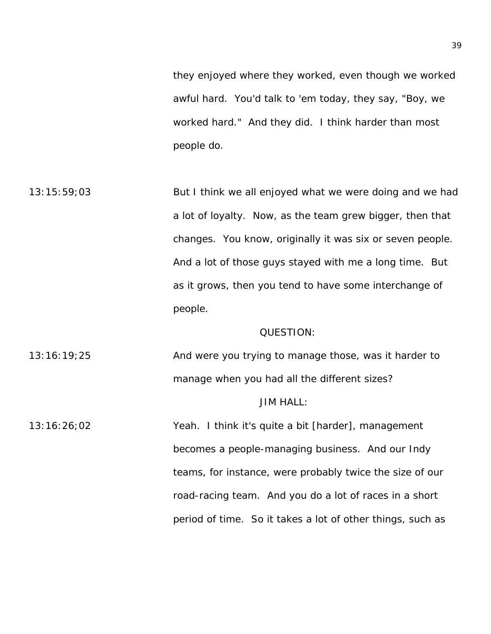they enjoyed where they worked, even though we worked awful hard. You'd talk to 'em today, they say, "Boy, we worked hard." And they did. I think harder than most people do.

13:15:59;03 But I think we all enjoyed what we were doing and we had a lot of loyalty. Now, as the team grew bigger, then that changes. You know, originally it was six or seven people. And a lot of those guys stayed with me a long time. But as it grows, then you tend to have some interchange of people.

### QUESTION:

13:16:19;25 And were you trying to manage those, was it harder to manage when you had all the different sizes?

## JIM HALL:

13:16:26;02 Yeah. I think it's quite a bit [harder], management becomes a people-managing business. And our Indy teams, for instance, were probably twice the size of our road-racing team. And you do a lot of races in a short period of time. So it takes a lot of other things, such as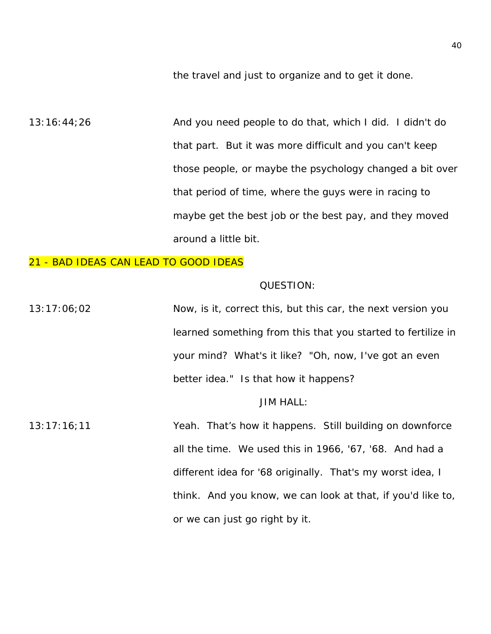the travel and just to organize and to get it done.

13:16:44;26 And you need people to do that, which I did. I didn't do that part. But it was more difficult and you can't keep those people, or maybe the psychology changed a bit over that period of time, where the guys were in racing to maybe get the best job or the best pay, and they moved around a little bit.

## 21 - BAD IDEAS CAN LEAD TO GOOD IDEAS

#### QUESTION:

13:17:06;02 Now, is it, correct this, but this car, the next version you learned something from this that you started to fertilize in your mind? What's it like? "Oh, now, I've got an even better idea." Is that how it happens?

## JIM HALL:

13:17:16;11 Yeah. That's how it happens. Still building on downforce all the time. We used this in 1966, '67, '68. And had a different idea for '68 originally. That's my worst idea, I think. And you know, we can look at that, if you'd like to, or we can just go right by it.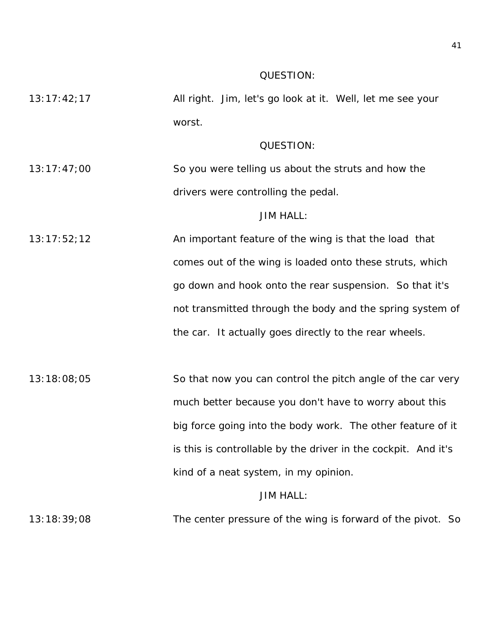#### QUESTION:

13:17:42;17 All right. Jim, let's go look at it. Well, let me see your worst.

## QUESTION:

13:17:47;00 So you were telling us about the struts and how the drivers were controlling the pedal.

JIM HALL:

- 13:17:52;12 An important feature of the wing is that the load that comes out of the wing is loaded onto these struts, which go down and hook onto the rear suspension. So that it's not transmitted through the body and the spring system of the car. It actually goes directly to the rear wheels.
- 13:18:08;05 So that now you can control the pitch angle of the car very much better because you don't have to worry about this big force going into the body work. The other feature of it is this is controllable by the driver in the cockpit. And it's kind of a neat system, in my opinion.

JIM HALL:

13:18:39;08 The center pressure of the wing is forward of the pivot. So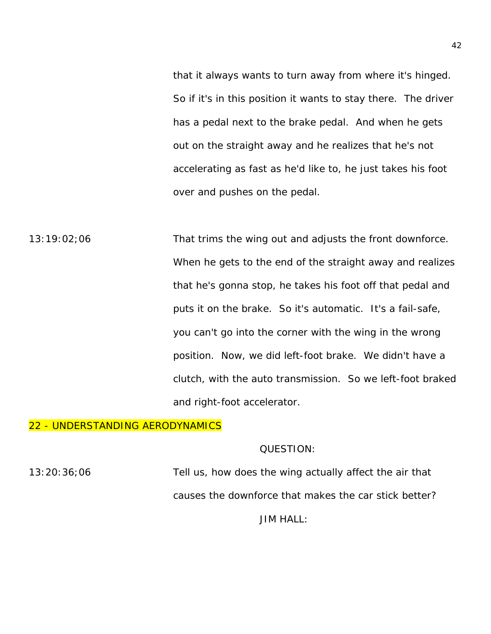that it always wants to turn away from where it's hinged. So if it's in this position it wants to stay there. The driver has a pedal next to the brake pedal. And when he gets out on the straight away and he realizes that he's not accelerating as fast as he'd like to, he just takes his foot over and pushes on the pedal.

13:19:02;06 That trims the wing out and adjusts the front downforce. When he gets to the end of the straight away and realizes that he's gonna stop, he takes his foot off that pedal and puts it on the brake. So it's automatic. It's a fail-safe, you can't go into the corner with the wing in the wrong position. Now, we did left-foot brake. We didn't have a clutch, with the auto transmission. So we left-foot braked and right-foot accelerator.

## 22 - UNDERSTANDING AERODYNAMICS

## QUESTION:

13:20:36;06 Tell us, how does the wing actually affect the air that causes the downforce that makes the car stick better?

JIM HALL: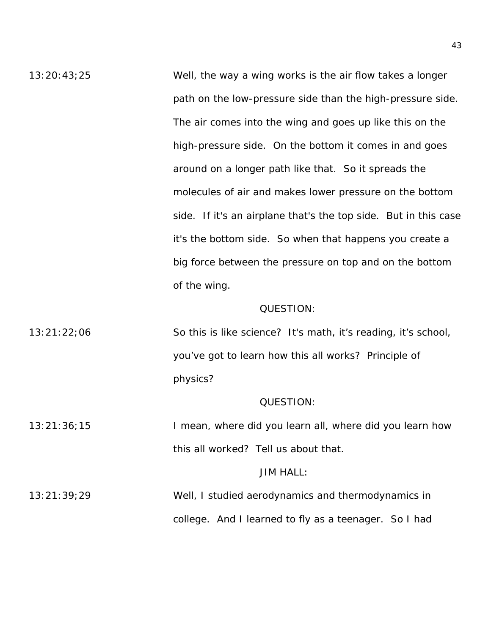13:20:43;25 Well, the way a wing works is the air flow takes a longer path on the low-pressure side than the high-pressure side. The air comes into the wing and goes up like this on the high-pressure side. On the bottom it comes in and goes around on a longer path like that. So it spreads the molecules of air and makes lower pressure on the bottom side. If it's an airplane that's the top side. But in this case it's the bottom side. So when that happens you create a big force between the pressure on top and on the bottom of the wing.

#### QUESTION:

13:21:22;06 So this is like science? It's math, it's reading, it's school, you've got to learn how this all works? Principle of physics?

### QUESTION:

13:21:36;15 I mean, where did you learn all, where did you learn how this all worked? Tell us about that.

### JIM HALL:

13:21:39;29 Well, I studied aerodynamics and thermodynamics in college. And I learned to fly as a teenager. So I had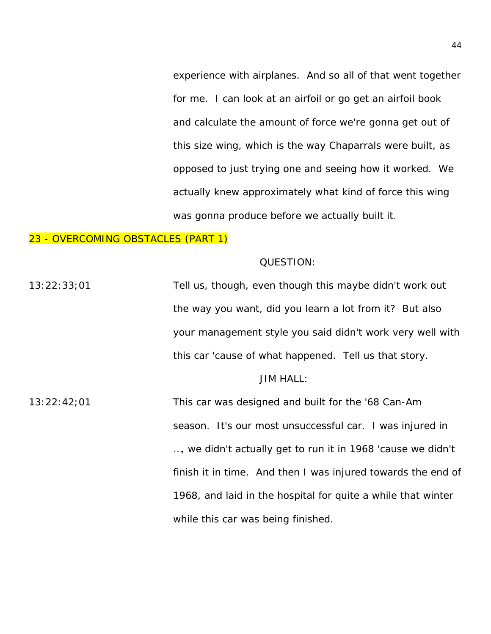experience with airplanes. And so all of that went together for me. I can look at an airfoil or go get an airfoil book and calculate the amount of force we're gonna get out of this size wing, which is the way Chaparrals were built, as opposed to just trying one and seeing how it worked. We actually knew approximately what kind of force this wing was gonna produce before we actually built it.

## 23 - OVERCOMING OBSTACLES (PART 1)

#### QUESTION:

13:22:33;01 Tell us, though, even though this maybe didn't work out the way you want, did you learn a lot from it? But also your management style you said didn't work very well with this car 'cause of what happened. Tell us that story.

## JIM HALL:

13:22:42;01 This car was designed and built for the '68 Can-Am season. It's our most unsuccessful car. I was injured in …, we didn't actually get to run it in 1968 'cause we didn't finish it in time. And then I was injured towards the end of 1968, and laid in the hospital for quite a while that winter while this car was being finished.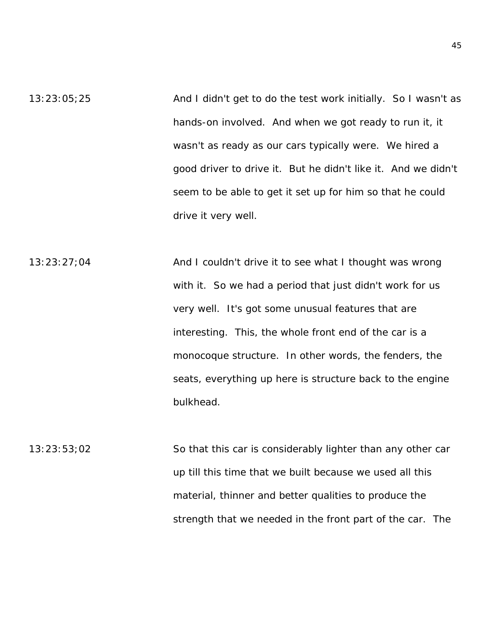- 13:23:05;25 And I didn't get to do the test work initially. So I wasn't as hands-on involved. And when we got ready to run it, it wasn't as ready as our cars typically were. We hired a good driver to drive it. But he didn't like it. And we didn't seem to be able to get it set up for him so that he could drive it very well.
- 13:23:27;04 **And I couldn't drive it to see what I thought was wrong** with it. So we had a period that just didn't work for us very well. It's got some unusual features that are interesting. This, the whole front end of the car is a monocoque structure. In other words, the fenders, the seats, everything up here is structure back to the engine bulkhead.
- 13:23:53;02 So that this car is considerably lighter than any other car up till this time that we built because we used all this material, thinner and better qualities to produce the strength that we needed in the front part of the car. The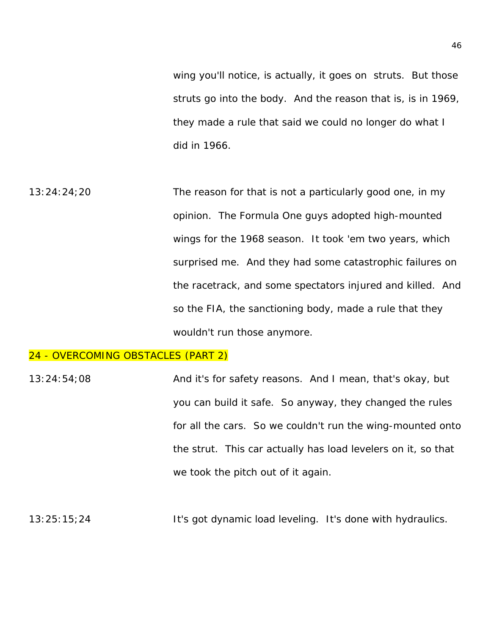wing you'll notice, is actually, it goes on struts. But those struts go into the body. And the reason that is, is in 1969, they made a rule that said we could no longer do what I did in 1966.

13:24:24;20 The reason for that is not a particularly good one, in my opinion. The Formula One guys adopted high-mounted wings for the 1968 season. It took 'em two years, which surprised me. And they had some catastrophic failures on the racetrack, and some spectators injured and killed. And so the FIA, the sanctioning body, made a rule that they wouldn't run those anymore.

### 24 - OVERCOMING OBSTACLES (PART 2)

13:24:54;08 And it's for safety reasons. And I mean, that's okay, but you can build it safe. So anyway, they changed the rules for all the cars. So we couldn't run the wing-mounted onto the strut. This car actually has load levelers on it, so that we took the pitch out of it again.

13:25:15;24 It's got dynamic load leveling. It's done with hydraulics.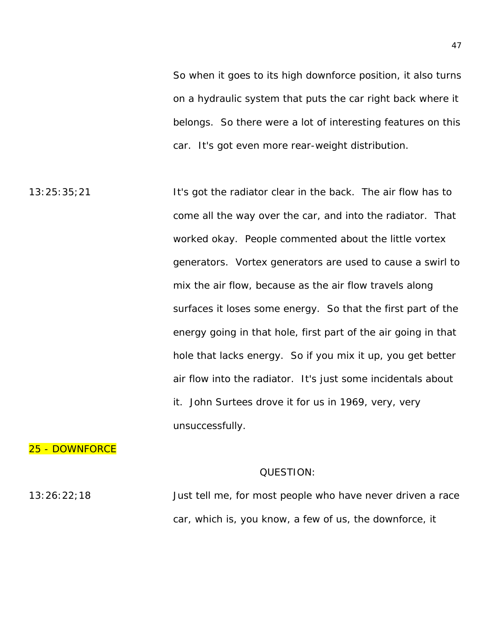So when it goes to its high downforce position, it also turns on a hydraulic system that puts the car right back where it belongs. So there were a lot of interesting features on this car. It's got even more rear-weight distribution.

13:25:35;21 It's got the radiator clear in the back. The air flow has to come all the way over the car, and into the radiator. That worked okay. People commented about the little vortex generators. Vortex generators are used to cause a swirl to mix the air flow, because as the air flow travels along surfaces it loses some energy. So that the first part of the energy going in that hole, first part of the air going in that hole that lacks energy. So if you mix it up, you get better air flow into the radiator. It's just some incidentals about it. John Surtees drove it for us in 1969, very, very unsuccessfully.

## 25 - DOWNFORCE

#### QUESTION:

13:26:22;18 Just tell me, for most people who have never driven a race car, which is, you know, a few of us, the downforce, it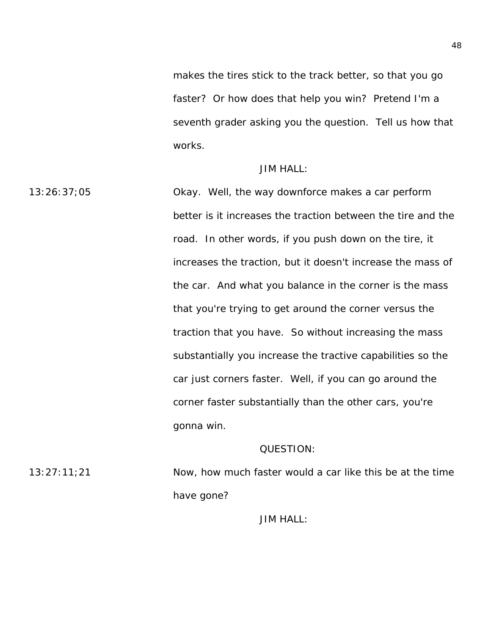makes the tires stick to the track better, so that you go faster? Or how does that help you win? Pretend I'm a seventh grader asking you the question. Tell us how that works.

### JIM HALL:

13:26:37;05 Okay. Well, the way downforce makes a car perform better is it increases the traction between the tire and the road. In other words, if you push down on the tire, it increases the traction, but it doesn't increase the mass of the car. And what you balance in the corner is the mass that you're trying to get around the corner versus the traction that you have. So without increasing the mass substantially you increase the tractive capabilities so the car just corners faster. Well, if you can go around the corner faster substantially than the other cars, you're gonna win.

## QUESTION:

13:27:11;21 Now, how much faster would a car like this be at the time have gone?

JIM HALL: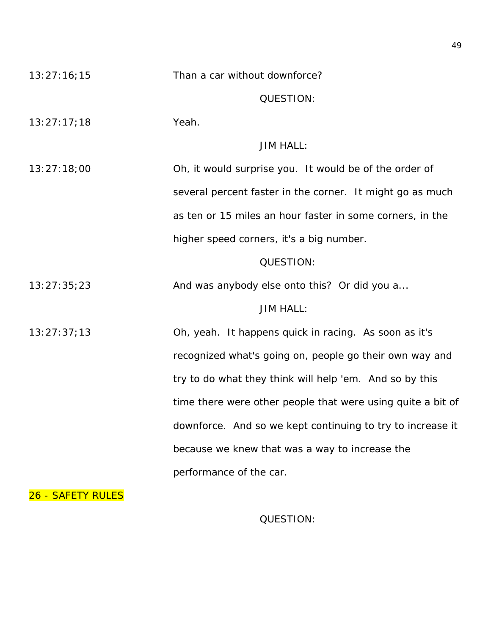| 13:27:16;15 | Than a car without downforce?                               |
|-------------|-------------------------------------------------------------|
|             | <b>QUESTION:</b>                                            |
| 13:27:17;18 | Yeah.                                                       |
|             | <b>JIM HALL:</b>                                            |
| 13:27:18;00 | Oh, it would surprise you. It would be of the order of      |
|             | several percent faster in the corner. It might go as much   |
|             | as ten or 15 miles an hour faster in some corners, in the   |
|             | higher speed corners, it's a big number.                    |
|             | QUESTION:                                                   |
| 13:27:35;23 | And was anybody else onto this? Or did you a                |
|             | <b>JIM HALL:</b>                                            |
| 13:27:37;13 | Oh, yeah. It happens quick in racing. As soon as it's       |
|             | recognized what's going on, people go their own way and     |
|             | try to do what they think will help 'em. And so by this     |
|             | time there were other people that were using quite a bit of |
|             | downforce. And so we kept continuing to try to increase it  |
|             | because we knew that was a way to increase the              |
|             | performance of the car.                                     |

26 - SAFETY RULES

QUESTION: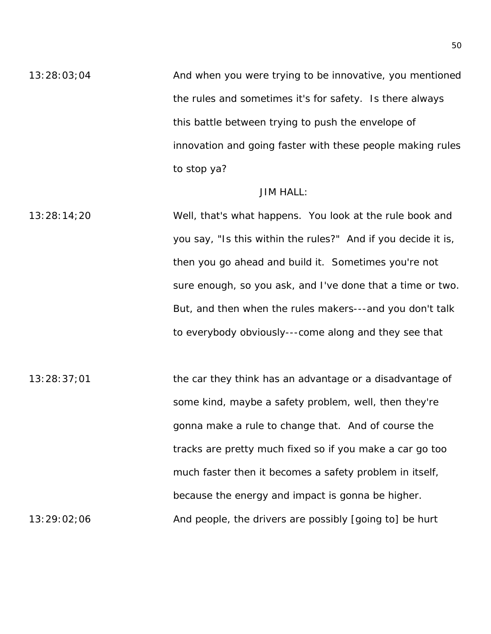13:28:03;04 And when you were trying to be innovative, you mentioned the rules and sometimes it's for safety. Is there always this battle between trying to push the envelope of innovation and going faster with these people making rules to stop ya?

### JIM HALL:

13:28:14;20 Well, that's what happens. You look at the rule book and you say, "Is this within the rules?" And if you decide it is, then you go ahead and build it. Sometimes you're not sure enough, so you ask, and I've done that a time or two. But, and then when the rules makers---and you don't talk to everybody obviously---come along and they see that

 $13:28:37;01$  the car they think has an advantage or a disadvantage of some kind, maybe a safety problem, well, then they're gonna make a rule to change that. And of course the tracks are pretty much fixed so if you make a car go too much faster then it becomes a safety problem in itself, because the energy and impact is gonna be higher.  $13:29:02;06$  And people, the drivers are possibly [going to] be hurt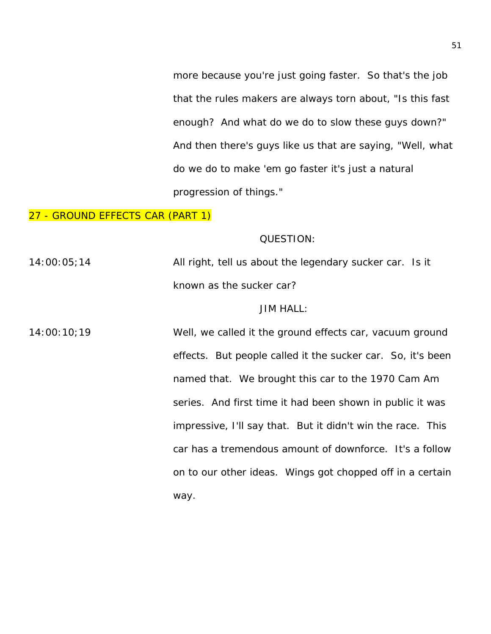more because you're just going faster. So that's the job that the rules makers are always torn about, "Is this fast enough? And what do we do to slow these guys down?" And then there's guys like us that are saying, "Well, what do we do to make 'em go faster it's just a natural progression of things."

## 27 - GROUND EFFECTS CAR (PART 1)

### QUESTION:

 $14:00:05;14$  All right, tell us about the legendary sucker car. Is it known as the sucker car?

### JIM HALL:

14:00:10;19 Well, we called it the ground effects car, vacuum ground effects. But people called it the sucker car. So, it's been named that. We brought this car to the 1970 Cam Am series. And first time it had been shown in public it was impressive, I'll say that. But it didn't win the race. This car has a tremendous amount of downforce. It's a follow on to our other ideas. Wings got chopped off in a certain way.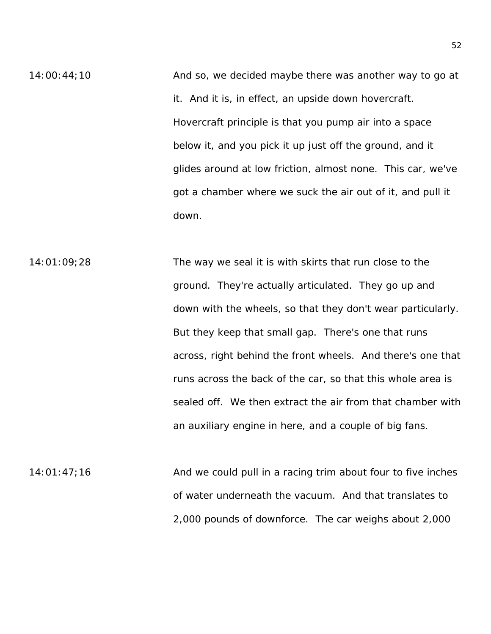$14:00:44:10$  And so, we decided maybe there was another way to go at it. And it is, in effect, an upside down hovercraft. Hovercraft principle is that you pump air into a space below it, and you pick it up just off the ground, and it glides around at low friction, almost none. This car, we've got a chamber where we suck the air out of it, and pull it down.

 $14:01:09;28$  The way we seal it is with skirts that run close to the ground. They're actually articulated. They go up and down with the wheels, so that they don't wear particularly. But they keep that small gap. There's one that runs across, right behind the front wheels. And there's one that runs across the back of the car, so that this whole area is sealed off. We then extract the air from that chamber with an auxiliary engine in here, and a couple of big fans.

14:01:47;16 And we could pull in a racing trim about four to five inches of water underneath the vacuum. And that translates to 2,000 pounds of downforce. The car weighs about 2,000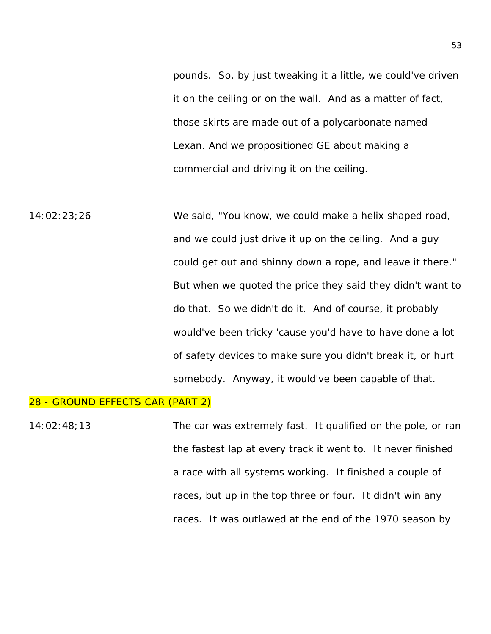pounds. So, by just tweaking it a little, we could've driven it on the ceiling or on the wall. And as a matter of fact, those skirts are made out of a polycarbonate named Lexan. And we propositioned GE about making a commercial and driving it on the ceiling.

14:02:23;26 We said, "You know, we could make a helix shaped road, and we could just drive it up on the ceiling. And a guy could get out and shinny down a rope, and leave it there." But when we quoted the price they said they didn't want to do that. So we didn't do it. And of course, it probably would've been tricky 'cause you'd have to have done a lot of safety devices to make sure you didn't break it, or hurt somebody. Anyway, it would've been capable of that.

## 28 - GROUND EFFECTS CAR (PART 2)

14:02:48;13 The car was extremely fast. It qualified on the pole, or ran the fastest lap at every track it went to. It never finished a race with all systems working. It finished a couple of races, but up in the top three or four. It didn't win any races. It was outlawed at the end of the 1970 season by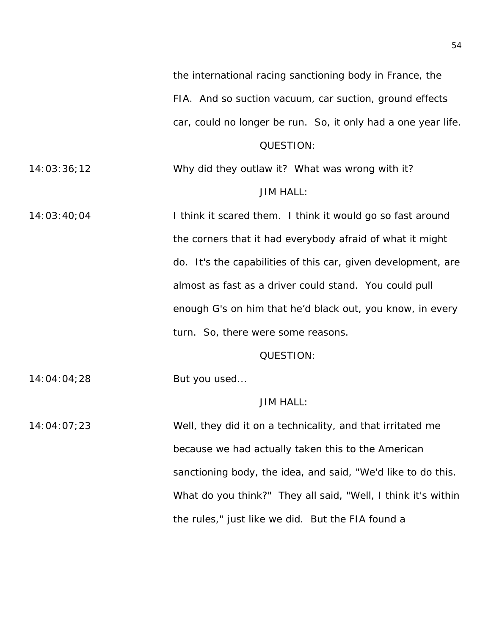the international racing sanctioning body in France, the FIA. And so suction vacuum, car suction, ground effects car, could no longer be run. So, it only had a one year life.

## QUESTION:

14:03:36;12 Why did they outlaw it? What was wrong with it? JIM HALL:

14:03:40;04 I think it scared them. I think it would go so fast around the corners that it had everybody afraid of what it might do. It's the capabilities of this car, given development, are almost as fast as a driver could stand. You could pull enough G's on him that he'd black out, you know, in every turn. So, there were some reasons.

#### QUESTION:

14:04:04;28 But you used...

### JIM HALL:

14:04:07;23 Well, they did it on a technicality, and that irritated me because we had actually taken this to the American sanctioning body, the idea, and said, "We'd like to do this. What do you think?" They all said, "Well, I think it's within the rules," just like we did. But the FIA found a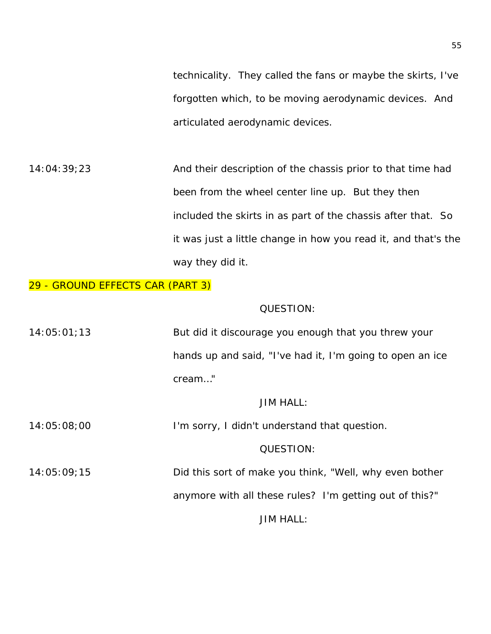technicality. They called the fans or maybe the skirts, I've forgotten which, to be moving aerodynamic devices. And articulated aerodynamic devices.

14:04:39;23 And their description of the chassis prior to that time had been from the wheel center line up. But they then included the skirts in as part of the chassis after that. So it was just a little change in how you read it, and that's the way they did it.

## 29 - GROUND EFFECTS CAR (PART 3)

## QUESTION:

| 14:05:01:13 | But did it discourage you enough that you threw your      |
|-------------|-----------------------------------------------------------|
|             | hands up and said, "I've had it, I'm going to open an ice |
|             | cream"                                                    |

## JIM HALL:

14:05:08;00 I'm sorry, I didn't understand that question.

## QUESTION:

14:05:09;15 Did this sort of make you think, "Well, why even bother

anymore with all these rules? I'm getting out of this?"

JIM HALL: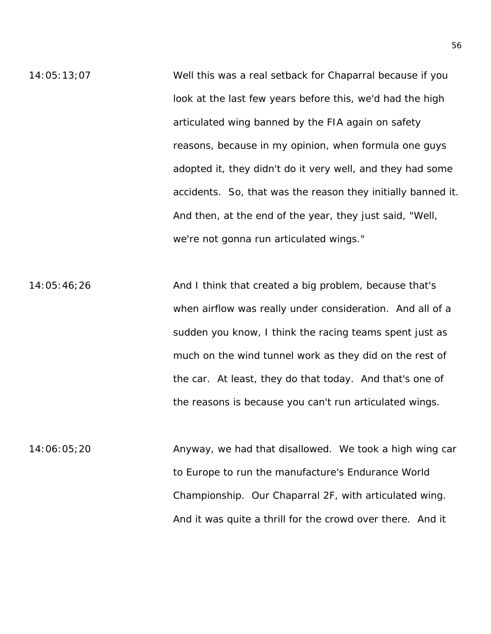14:05:13;07 Well this was a real setback for Chaparral because if you look at the last few years before this, we'd had the high articulated wing banned by the FIA again on safety reasons, because in my opinion, when formula one guys adopted it, they didn't do it very well, and they had some accidents. So, that was the reason they initially banned it. And then, at the end of the year, they just said, "Well, we're not gonna run articulated wings."

14:05:46;26 And I think that created a big problem, because that's when airflow was really under consideration. And all of a sudden you know, I think the racing teams spent just as much on the wind tunnel work as they did on the rest of the car. At least, they do that today. And that's one of the reasons is because you can't run articulated wings.

14:06:05;20 Anyway, we had that disallowed. We took a high wing car to Europe to run the manufacture's Endurance World Championship. Our Chaparral 2F, with articulated wing. And it was quite a thrill for the crowd over there. And it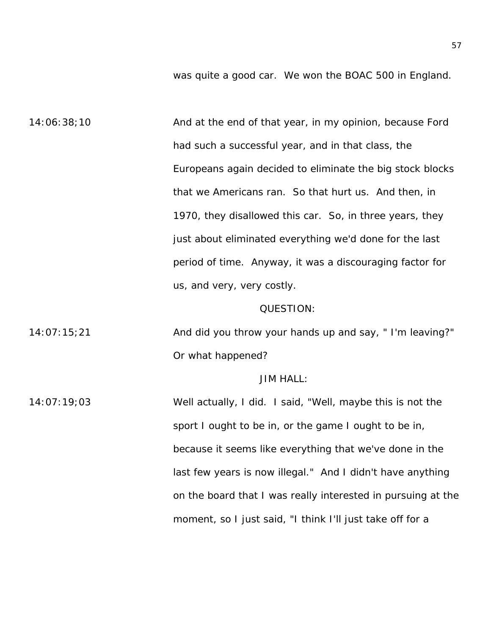was quite a good car. We won the BOAC 500 in England.

14:06:38;10 And at the end of that year, in my opinion, because Ford had such a successful year, and in that class, the Europeans again decided to eliminate the big stock blocks that we Americans ran. So that hurt us. And then, in 1970, they disallowed this car. So, in three years, they just about eliminated everything we'd done for the last period of time. Anyway, it was a discouraging factor for us, and very, very costly.

#### QUESTION:

14:07:15;21 And did you throw your hands up and say, " I'm leaving?" Or what happened?

### JIM HALL:

14:07:19;03 Well actually, I did. I said, "Well, maybe this is not the sport I ought to be in, or the game I ought to be in, because it seems like everything that we've done in the last few years is now illegal." And I didn't have anything on the board that I was really interested in pursuing at the moment, so I just said, "I think I'll just take off for a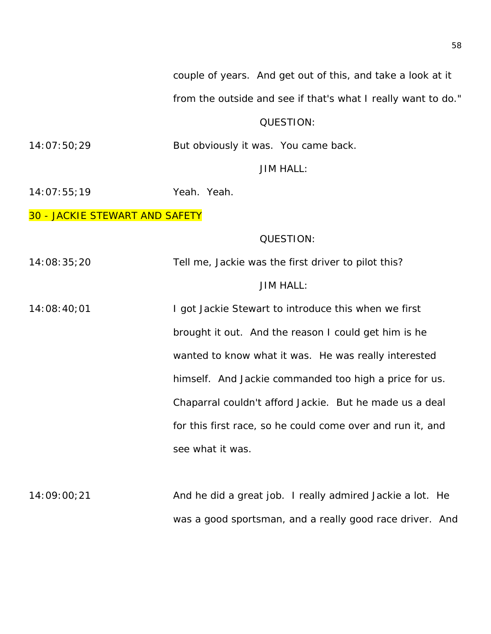couple of years. And get out of this, and take a look at it

from the outside and see if that's what I really want to do."

## QUESTION:

14:07:50;29 But obviously it was. You came back.

JIM HALL:

14:07:55;19 Yeah. Yeah.

30 - JACKIE STEWART AND SAFETY

## QUESTION:

14:08:35;20 Tell me, Jackie was the first driver to pilot this?

## JIM HALL:

14:08:40;01 I got Jackie Stewart to introduce this when we first brought it out. And the reason I could get him is he wanted to know what it was. He was really interested himself. And Jackie commanded too high a price for us. Chaparral couldn't afford Jackie. But he made us a deal for this first race, so he could come over and run it, and see what it was.

14:09:00;21 And he did a great job. I really admired Jackie a lot. He was a good sportsman, and a really good race driver. And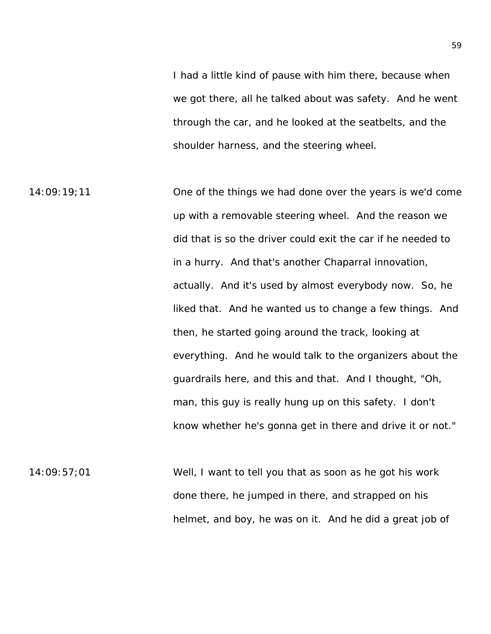I had a little kind of pause with him there, because when we got there, all he talked about was safety. And he went through the car, and he looked at the seatbelts, and the shoulder harness, and the steering wheel.

14:09:19;11 One of the things we had done over the years is we'd come up with a removable steering wheel. And the reason we did that is so the driver could exit the car if he needed to in a hurry. And that's another Chaparral innovation, actually. And it's used by almost everybody now. So, he liked that. And he wanted us to change a few things. And then, he started going around the track, looking at everything. And he would talk to the organizers about the guardrails here, and this and that. And I thought, "Oh, man, this guy is really hung up on this safety. I don't know whether he's gonna get in there and drive it or not."

14:09:57;01 Well, I want to tell you that as soon as he got his work done there, he jumped in there, and strapped on his helmet, and boy, he was on it. And he did a great job of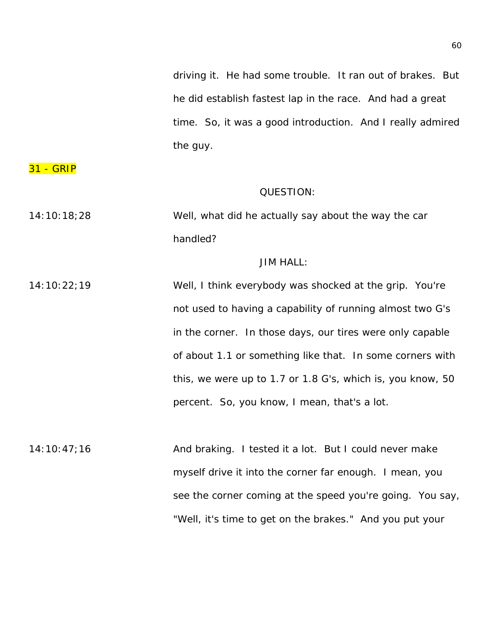driving it. He had some trouble. It ran out of brakes. But he did establish fastest lap in the race. And had a great time. So, it was a good introduction. And I really admired the guy.

31 - GRIP

### QUESTION:

14:10:18;28 Well, what did he actually say about the way the car handled?

## JIM HALL:

14:10:22;19 Well, I think everybody was shocked at the grip. You're not used to having a capability of running almost two G's in the corner. In those days, our tires were only capable of about 1.1 or something like that. In some corners with this, we were up to 1.7 or 1.8 G's, which is, you know, 50 percent. So, you know, I mean, that's a lot.

14:10:47;16 And braking. I tested it a lot. But I could never make myself drive it into the corner far enough. I mean, you see the corner coming at the speed you're going. You say, "Well, it's time to get on the brakes." And you put your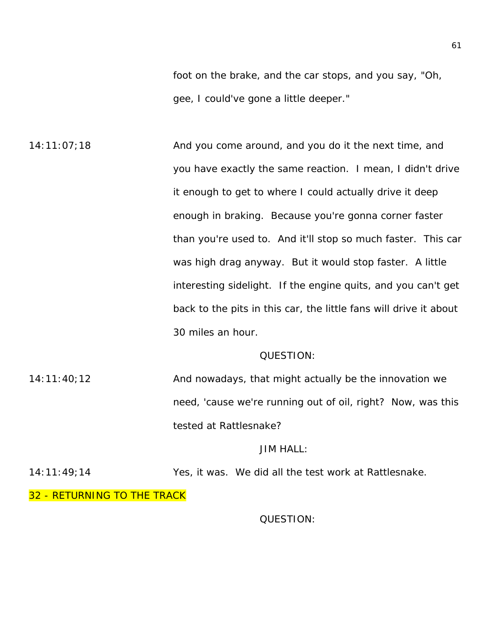foot on the brake, and the car stops, and you say, "Oh, gee, I could've gone a little deeper."

 $14:11:07;18$  And you come around, and you do it the next time, and you have exactly the same reaction. I mean, I didn't drive it enough to get to where I could actually drive it deep enough in braking. Because you're gonna corner faster than you're used to. And it'll stop so much faster. This car was high drag anyway. But it would stop faster. A little interesting sidelight. If the engine quits, and you can't get back to the pits in this car, the little fans will drive it about 30 miles an hour.

#### QUESTION:

 $14:11:40:12$  And nowadays, that might actually be the innovation we need, 'cause we're running out of oil, right? Now, was this tested at Rattlesnake?

## JIM HALL:

14:11:49;14 Yes, it was. We did all the test work at Rattlesnake.

32 - RETURNING TO THE TRACK

## QUESTION: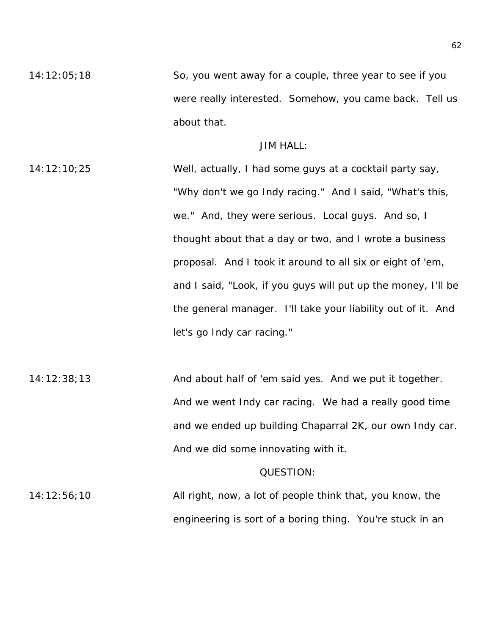$14:12:05;18$  So, you went away for a couple, three year to see if you were really interested. Somehow, you came back. Tell us about that.

## JIM HALL:

14:12:10;25 Well, actually, I had some guys at a cocktail party say, "Why don't we go Indy racing." And I said, "What's this, we." And, they were serious. Local guys. And so, I thought about that a day or two, and I wrote a business proposal. And I took it around to all six or eight of 'em, and I said, "Look, if you guys will put up the money, I'll be the general manager. I'll take your liability out of it. And let's go Indy car racing."

14:12:38;13 And about half of 'em said yes. And we put it together. And we went Indy car racing. We had a really good time and we ended up building Chaparral 2K, our own Indy car. And we did some innovating with it.

#### QUESTION:

14:12:56;10 All right, now, a lot of people think that, you know, the engineering is sort of a boring thing. You're stuck in an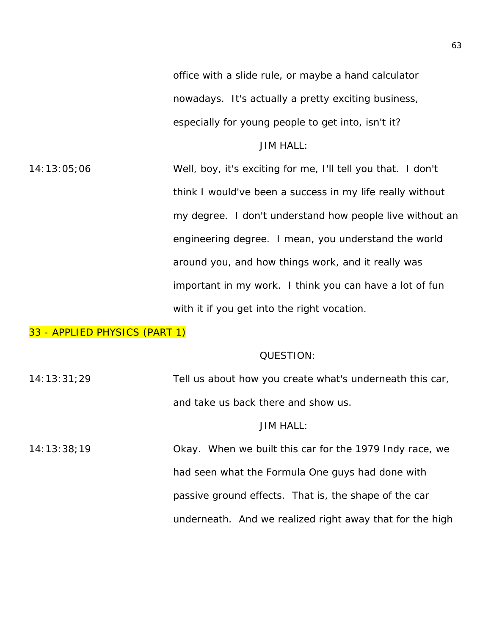office with a slide rule, or maybe a hand calculator nowadays. It's actually a pretty exciting business, especially for young people to get into, isn't it?

JIM HALL:

14:13:05;06 Well, boy, it's exciting for me, I'll tell you that. I don't think I would've been a success in my life really without my degree. I don't understand how people live without an engineering degree. I mean, you understand the world around you, and how things work, and it really was important in my work. I think you can have a lot of fun with it if you get into the right vocation.

# 33 - APPLIED PHYSICS (PART 1)

### QUESTION:

| 14:13:31:29 | Tell us about how you create what's underneath this car, |
|-------------|----------------------------------------------------------|
|             | and take us back there and show us.                      |
|             | <b>JIM HALL:</b>                                         |
| 14:13:38:19 | Okay. When we built this car for the 1979 Indy race, we  |
|             | had seen what the Formula One guys had done with         |
|             | passive ground effects. That is, the shape of the car    |
|             | underneath. And we realized right away that for the high |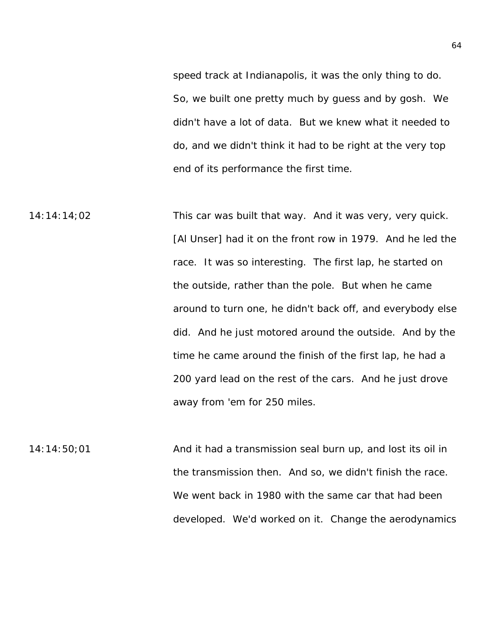speed track at Indianapolis, it was the only thing to do. So, we built one pretty much by guess and by gosh. We didn't have a lot of data. But we knew what it needed to do, and we didn't think it had to be right at the very top end of its performance the first time.

14:14:14;02 This car was built that way. And it was very, very quick. [Al Unser] had it on the front row in 1979. And he led the race. It was so interesting. The first lap, he started on the outside, rather than the pole. But when he came around to turn one, he didn't back off, and everybody else did. And he just motored around the outside. And by the time he came around the finish of the first lap, he had a 200 yard lead on the rest of the cars. And he just drove away from 'em for 250 miles.

 $14:14:50;01$  And it had a transmission seal burn up, and lost its oil in the transmission then. And so, we didn't finish the race. We went back in 1980 with the same car that had been developed. We'd worked on it. Change the aerodynamics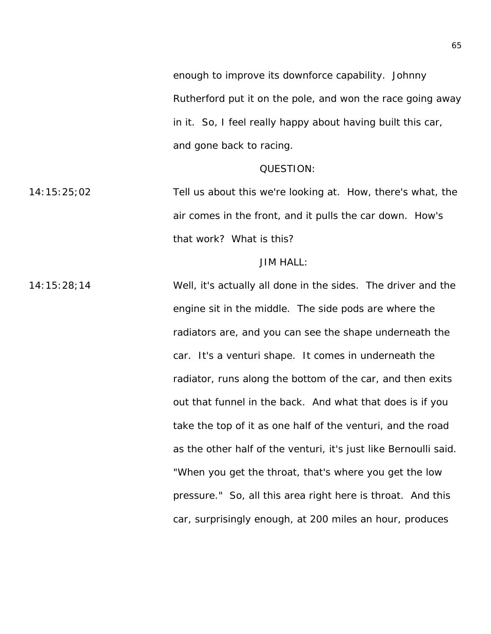enough to improve its downforce capability. Johnny Rutherford put it on the pole, and won the race going away in it. So, I feel really happy about having built this car, and gone back to racing.

### QUESTION:

14:15:25;02 Tell us about this we're looking at. How, there's what, the air comes in the front, and it pulls the car down. How's that work? What is this?

### JIM HALL:

14:15:28;14 Well, it's actually all done in the sides. The driver and the engine sit in the middle. The side pods are where the radiators are, and you can see the shape underneath the car. It's a venturi shape. It comes in underneath the radiator, runs along the bottom of the car, and then exits out that funnel in the back. And what that does is if you take the top of it as one half of the venturi, and the road as the other half of the venturi, it's just like Bernoulli said. "When you get the throat, that's where you get the low pressure." So, all this area right here is throat. And this car, surprisingly enough, at 200 miles an hour, produces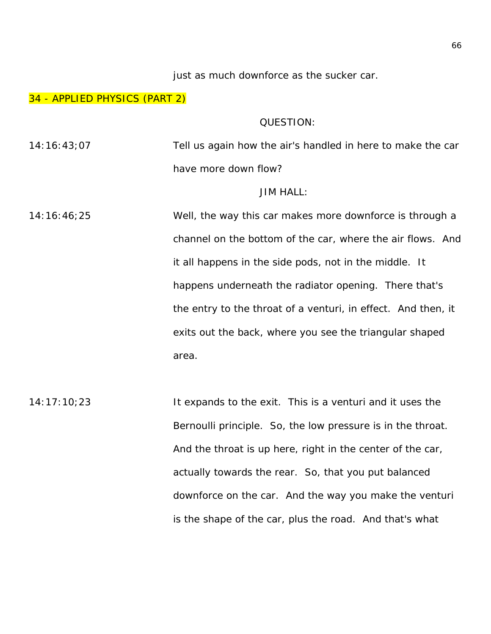just as much downforce as the sucker car.

### 34 - APPLIED PHYSICS (PART 2)

#### QUESTION:

14:16:43;07 Tell us again how the air's handled in here to make the car have more down flow?

### JIM HALL:

14:16:46;25 Well, the way this car makes more downforce is through a channel on the bottom of the car, where the air flows. And it all happens in the side pods, not in the middle. It happens underneath the radiator opening. There that's the entry to the throat of a venturi, in effect. And then, it exits out the back, where you see the triangular shaped area.

14:17:10;23 It expands to the exit. This is a venturi and it uses the Bernoulli principle. So, the low pressure is in the throat. And the throat is up here, right in the center of the car, actually towards the rear. So, that you put balanced downforce on the car. And the way you make the venturi is the shape of the car, plus the road. And that's what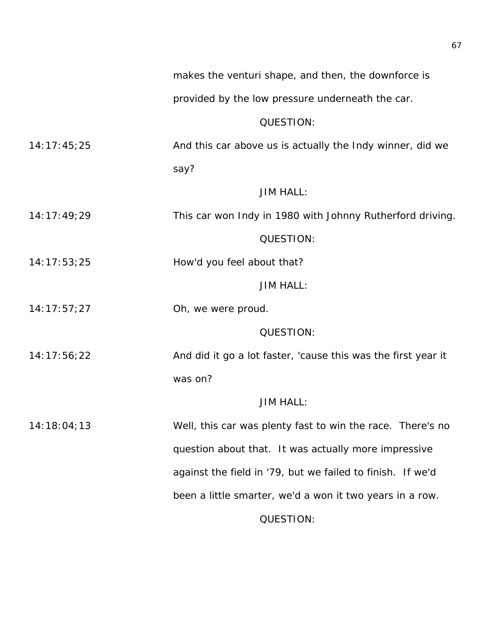provided by the low pressure underneath the car.

## QUESTION:

14:17:45;25 And this car above us is actually the Indy winner, did we say?

# JIM HALL:

14:17:49;29 This car won Indy in 1980 with Johnny Rutherford driving.

# QUESTION:

14:17:53;25 How'd you feel about that?

# JIM HALL:

14:17:57;27 Oh, we were proud.

## QUESTION:

14:17:56;22 And did it go a lot faster, 'cause this was the first year it was on?

## JIM HALL:

14:18:04;13 Well, this car was plenty fast to win the race. There's no question about that. It was actually more impressive against the field in '79, but we failed to finish. If we'd been a little smarter, we'd a won it two years in a row.

QUESTION: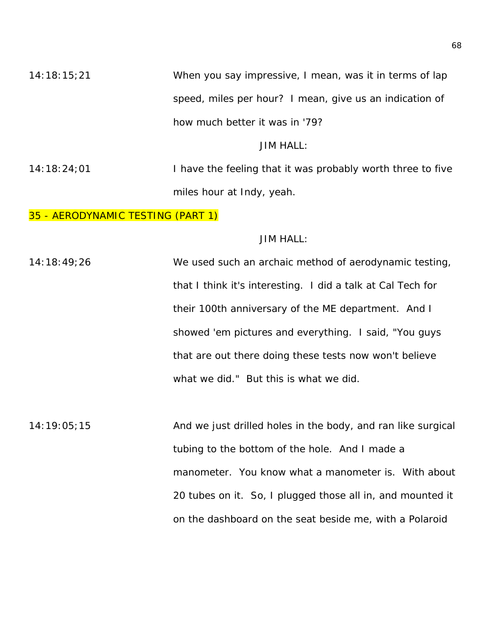14:18:15;21 When you say impressive, I mean, was it in terms of lap speed, miles per hour? I mean, give us an indication of how much better it was in '79?

# JIM HALL:

14:18:24;01 I have the feeling that it was probably worth three to five miles hour at Indy, yeah.

## 35 - AERODYNAMIC TESTING (PART 1)

## JIM HALL:

14:18:49;26 We used such an archaic method of aerodynamic testing, that I think it's interesting. I did a talk at Cal Tech for their 100th anniversary of the ME department. And I showed 'em pictures and everything. I said, "You guys that are out there doing these tests now won't believe what we did." But this is what we did.

14:19:05;15 And we just drilled holes in the body, and ran like surgical tubing to the bottom of the hole. And I made a manometer. You know what a manometer is. With about 20 tubes on it. So, I plugged those all in, and mounted it on the dashboard on the seat beside me, with a Polaroid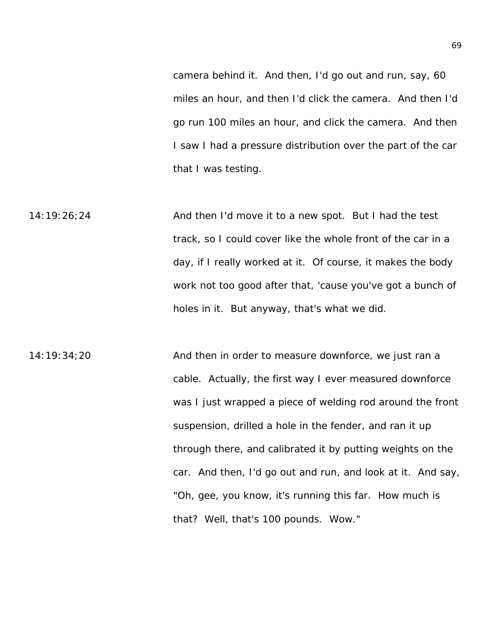camera behind it. And then, I'd go out and run, say, 60 miles an hour, and then I'd click the camera. And then I'd go run 100 miles an hour, and click the camera. And then I saw I had a pressure distribution over the part of the car that I was testing.

14:19:26;24 And then I'd move it to a new spot. But I had the test track, so I could cover like the whole front of the car in a day, if I really worked at it. Of course, it makes the body work not too good after that, 'cause you've got a bunch of holes in it. But anyway, that's what we did.

14:19:34;20 And then in order to measure downforce, we just ran a cable. Actually, the first way I ever measured downforce was I just wrapped a piece of welding rod around the front suspension, drilled a hole in the fender, and ran it up through there, and calibrated it by putting weights on the car. And then, I'd go out and run, and look at it. And say, "Oh, gee, you know, it's running this far. How much is that? Well, that's 100 pounds. Wow."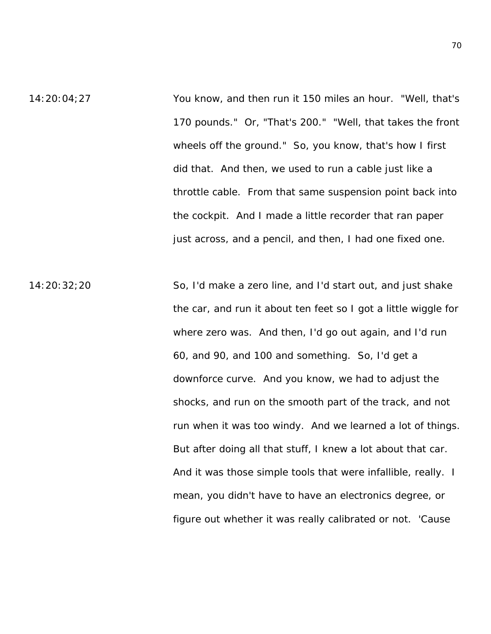- 14:20:04;27 You know, and then run it 150 miles an hour. "Well, that's 170 pounds." Or, "That's 200." "Well, that takes the front wheels off the ground." So, you know, that's how I first did that. And then, we used to run a cable just like a throttle cable. From that same suspension point back into the cockpit. And I made a little recorder that ran paper just across, and a pencil, and then, I had one fixed one.
- 14:20:32;20 So, I'd make a zero line, and I'd start out, and just shake the car, and run it about ten feet so I got a little wiggle for where zero was. And then, I'd go out again, and I'd run 60, and 90, and 100 and something. So, I'd get a downforce curve. And you know, we had to adjust the shocks, and run on the smooth part of the track, and not run when it was too windy. And we learned a lot of things. But after doing all that stuff, I knew a lot about that car. And it was those simple tools that were infallible, really. I mean, you didn't have to have an electronics degree, or figure out whether it was really calibrated or not. 'Cause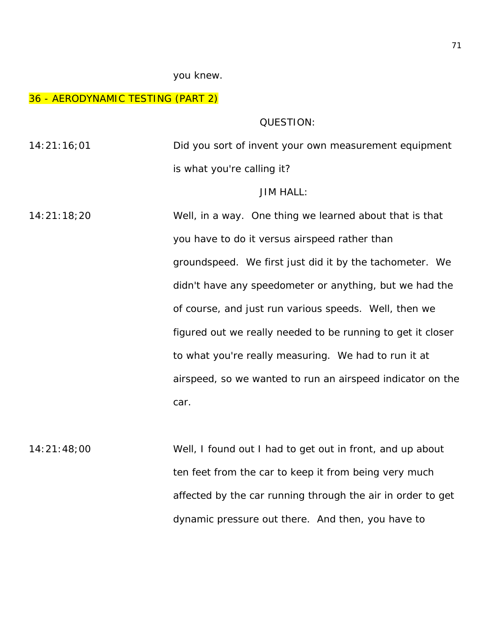#### you knew.

### 36 - AERODYNAMIC TESTING (PART 2)

QUESTION:

14:21:16;01 Did you sort of invent your own measurement equipment is what you're calling it?

### JIM HALL:

14:21:18;20 Well, in a way. One thing we learned about that is that you have to do it versus airspeed rather than groundspeed. We first just did it by the tachometer. We didn't have any speedometer or anything, but we had the of course, and just run various speeds. Well, then we figured out we really needed to be running to get it closer to what you're really measuring. We had to run it at airspeed, so we wanted to run an airspeed indicator on the car.

14:21:48;00 Well, I found out I had to get out in front, and up about ten feet from the car to keep it from being very much affected by the car running through the air in order to get dynamic pressure out there. And then, you have to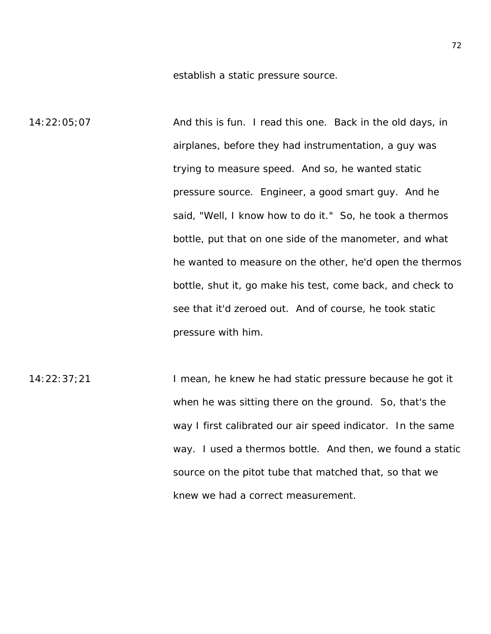establish a static pressure source.

14:22:05;07 And this is fun. I read this one. Back in the old days, in airplanes, before they had instrumentation, a guy was trying to measure speed. And so, he wanted static pressure source. Engineer, a good smart guy. And he said, "Well, I know how to do it." So, he took a thermos bottle, put that on one side of the manometer, and what he wanted to measure on the other, he'd open the thermos bottle, shut it, go make his test, come back, and check to see that it'd zeroed out. And of course, he took static pressure with him.

14:22:37;21 I mean, he knew he had static pressure because he got it when he was sitting there on the ground. So, that's the way I first calibrated our air speed indicator. In the same way. I used a thermos bottle. And then, we found a static source on the pitot tube that matched that, so that we knew we had a correct measurement.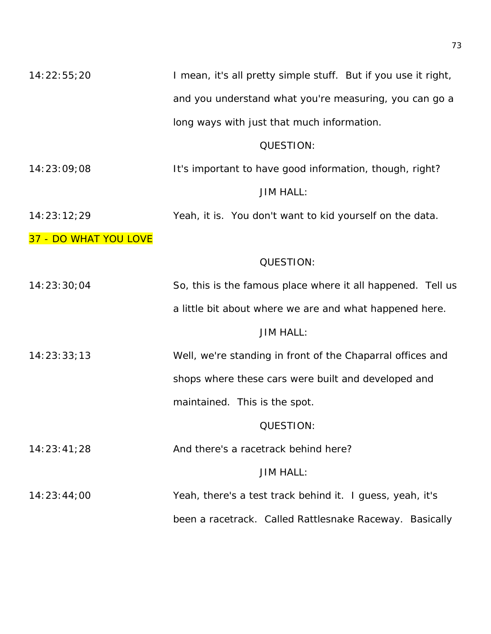| 14:22:55;20           | I mean, it's all pretty simple stuff. But if you use it right, |
|-----------------------|----------------------------------------------------------------|
|                       | and you understand what you're measuring, you can go a         |
|                       | long ways with just that much information.                     |
|                       | QUESTION:                                                      |
| 14:23:09;08           | It's important to have good information, though, right?        |
|                       | <b>JIM HALL:</b>                                               |
| 14:23:12;29           | Yeah, it is. You don't want to kid yourself on the data.       |
| 37 - DO WHAT YOU LOVE |                                                                |
|                       | QUESTION:                                                      |
| 14:23:30;04           | So, this is the famous place where it all happened. Tell us    |
|                       | a little bit about where we are and what happened here.        |
|                       | <b>JIM HALL:</b>                                               |
| 14:23:33;13           | Well, we're standing in front of the Chaparral offices and     |
|                       | shops where these cars were built and developed and            |
|                       | maintained. This is the spot.                                  |
|                       | QUESTION:                                                      |
| 14:23:41;28           | And there's a racetrack behind here?                           |
|                       | <b>JIM HALL:</b>                                               |
| 14:23:44:00           | Yeah, there's a test track behind it. I guess, yeah, it's      |
|                       | been a racetrack. Called Rattlesnake Raceway. Basically        |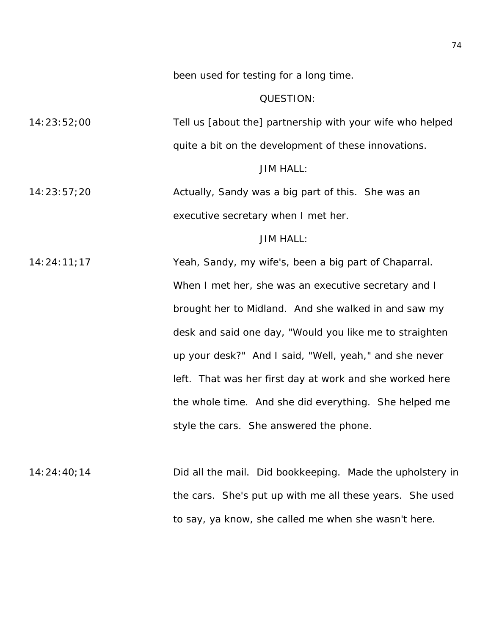been used for testing for a long time.

# QUESTION:

14:23:52;00 Tell us [about the] partnership with your wife who helped quite a bit on the development of these innovations.

JIM HALL:

14:23:57;20 Actually, Sandy was a big part of this. She was an executive secretary when I met her.

# JIM HALL:

14:24:11;17 Yeah, Sandy, my wife's, been a big part of Chaparral. When I met her, she was an executive secretary and I brought her to Midland. And she walked in and saw my desk and said one day, "Would you like me to straighten up your desk?" And I said, "Well, yeah," and she never left. That was her first day at work and she worked here the whole time. And she did everything. She helped me style the cars. She answered the phone.

14:24:40;14 Did all the mail. Did bookkeeping. Made the upholstery in the cars. She's put up with me all these years. She used to say, ya know, she called me when she wasn't here.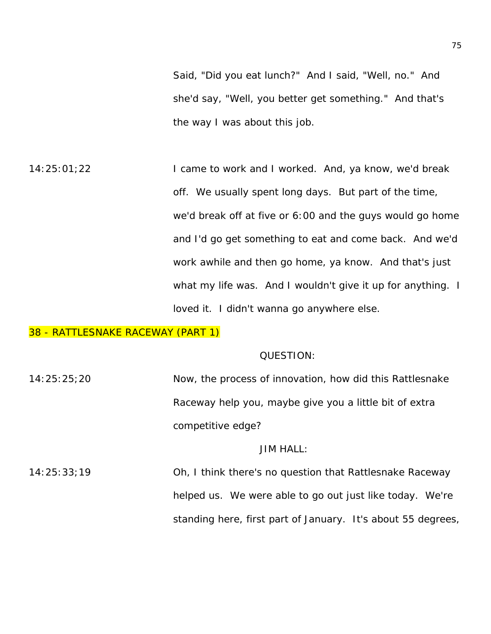Said, "Did you eat lunch?" And I said, "Well, no." And she'd say, "Well, you better get something." And that's the way I was about this job.

14:25:01;22 **I came to work and I worked. And, ya know, we'd break** off. We usually spent long days. But part of the time, we'd break off at five or 6:00 and the guys would go home and I'd go get something to eat and come back. And we'd work awhile and then go home, ya know. And that's just what my life was. And I wouldn't give it up for anything. I loved it. I didn't wanna go anywhere else.

# 38 - RATTLESNAKE RACEWAY (PART 1)

### QUESTION:

14:25:25;20 Now, the process of innovation, how did this Rattlesnake Raceway help you, maybe give you a little bit of extra competitive edge?

# JIM HALL:

14:25:33;19 Oh, I think there's no question that Rattlesnake Raceway helped us. We were able to go out just like today. We're standing here, first part of January. It's about 55 degrees,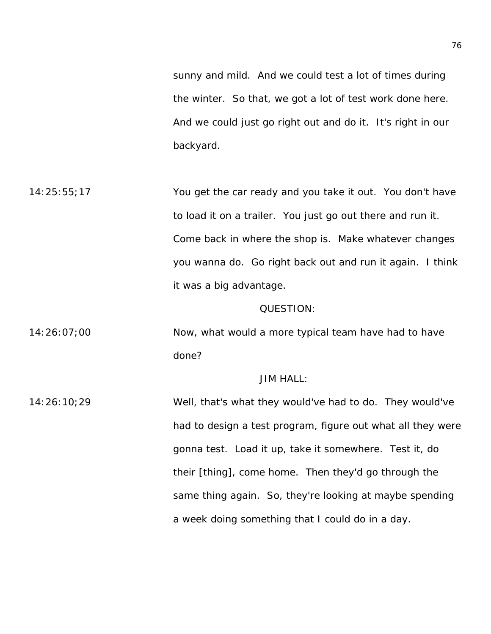sunny and mild. And we could test a lot of times during the winter. So that, we got a lot of test work done here. And we could just go right out and do it. It's right in our backyard.

14:25:55;17 You get the car ready and you take it out. You don't have to load it on a trailer. You just go out there and run it. Come back in where the shop is. Make whatever changes you wanna do. Go right back out and run it again. I think it was a big advantage.

### QUESTION:

14:26:07;00 Now, what would a more typical team have had to have done?

# JIM HALL:

14:26:10;29 Well, that's what they would've had to do. They would've had to design a test program, figure out what all they were gonna test. Load it up, take it somewhere. Test it, do their [thing], come home. Then they'd go through the same thing again. So, they're looking at maybe spending a week doing something that I could do in a day.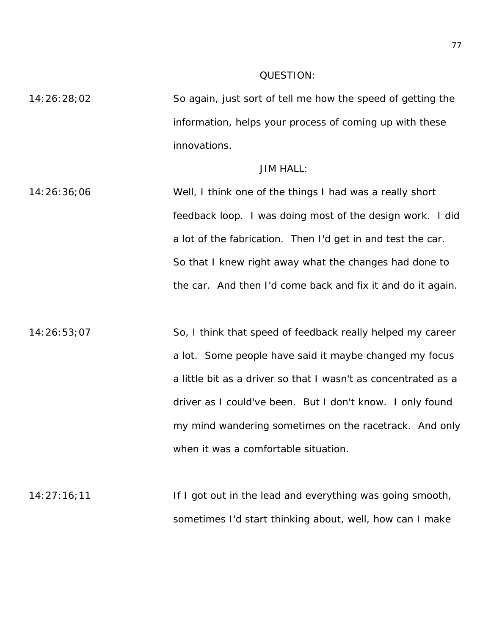### QUESTION:

14:26:28;02 So again, just sort of tell me how the speed of getting the information, helps your process of coming up with these innovations.

# JIM HALL:

14:26:36;06 Well, I think one of the things I had was a really short feedback loop. I was doing most of the design work. I did a lot of the fabrication. Then I'd get in and test the car. So that I knew right away what the changes had done to the car. And then I'd come back and fix it and do it again.

14:26:53;07 So, I think that speed of feedback really helped my career a lot. Some people have said it maybe changed my focus a little bit as a driver so that I wasn't as concentrated as a driver as I could've been. But I don't know. I only found my mind wandering sometimes on the racetrack. And only when it was a comfortable situation.

 $14:27:16;11$  If I got out in the lead and everything was going smooth, sometimes I'd start thinking about, well, how can I make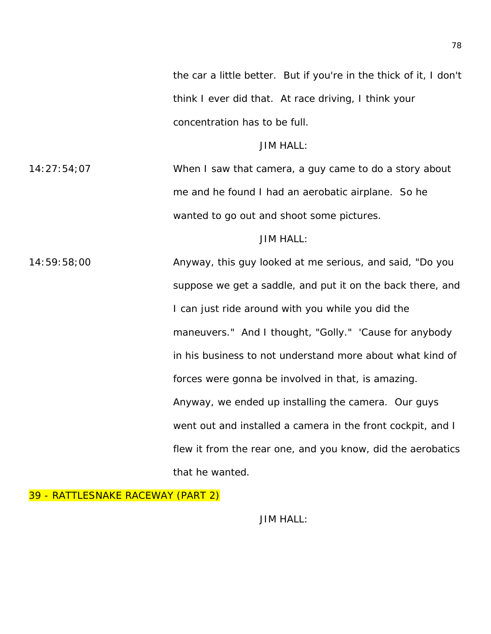the car a little better. But if you're in the thick of it, I don't think I ever did that. At race driving, I think your concentration has to be full.

JIM HALL:

14:27:54;07 When I saw that camera, a guy came to do a story about me and he found I had an aerobatic airplane. So he wanted to go out and shoot some pictures.

# JIM HALL:

14:59:58;00 Anyway, this guy looked at me serious, and said, "Do you suppose we get a saddle, and put it on the back there, and I can just ride around with you while you did the maneuvers." And I thought, "Golly." 'Cause for anybody in his business to not understand more about what kind of forces were gonna be involved in that, is amazing. Anyway, we ended up installing the camera. Our guys went out and installed a camera in the front cockpit, and I flew it from the rear one, and you know, did the aerobatics that he wanted.

39 - RATTLESNAKE RACEWAY (PART 2)

JIM HALL: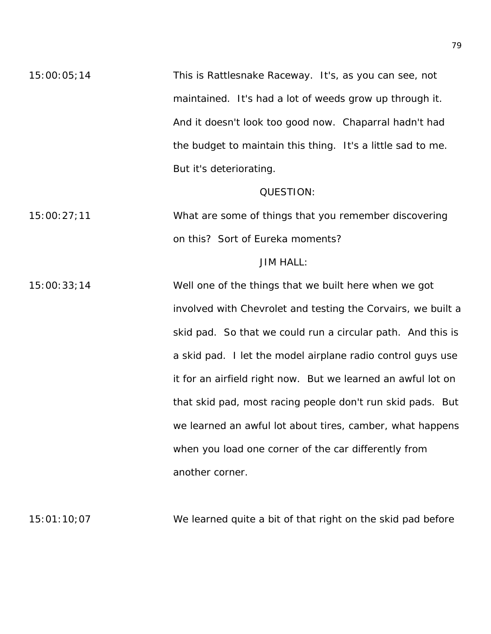15:00:05;14 This is Rattlesnake Raceway. It's, as you can see, not maintained. It's had a lot of weeds grow up through it. And it doesn't look too good now. Chaparral hadn't had the budget to maintain this thing. It's a little sad to me. But it's deteriorating.

### QUESTION:

15:00:27;11 What are some of things that you remember discovering on this? Sort of Eureka moments?

# JIM HALL:

15:00:33;14 Well one of the things that we built here when we got involved with Chevrolet and testing the Corvairs, we built a skid pad. So that we could run a circular path. And this is a skid pad. I let the model airplane radio control guys use it for an airfield right now. But we learned an awful lot on that skid pad, most racing people don't run skid pads. But we learned an awful lot about tires, camber, what happens when you load one corner of the car differently from another corner.

15:01:10;07 We learned quite a bit of that right on the skid pad before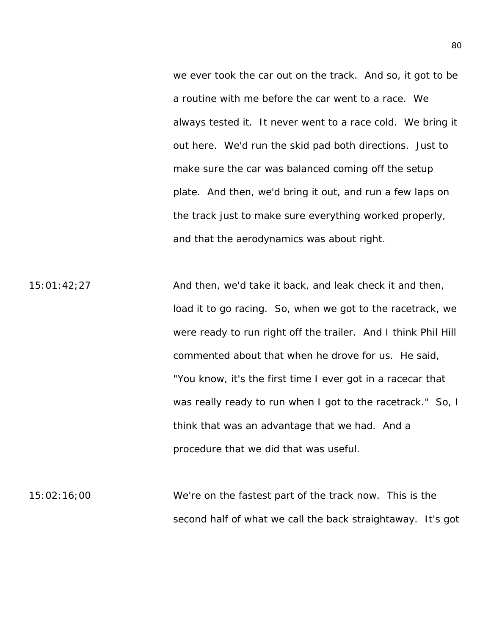we ever took the car out on the track. And so, it got to be a routine with me before the car went to a race. We always tested it. It never went to a race cold. We bring it out here. We'd run the skid pad both directions. Just to make sure the car was balanced coming off the setup plate. And then, we'd bring it out, and run a few laps on the track just to make sure everything worked properly, and that the aerodynamics was about right.

15:01:42;27 And then, we'd take it back, and leak check it and then, load it to go racing. So, when we got to the racetrack, we were ready to run right off the trailer. And I think Phil Hill commented about that when he drove for us. He said, "You know, it's the first time I ever got in a racecar that was really ready to run when I got to the racetrack." So, I think that was an advantage that we had. And a procedure that we did that was useful.

15:02:16;00 We're on the fastest part of the track now. This is the second half of what we call the back straightaway. It's got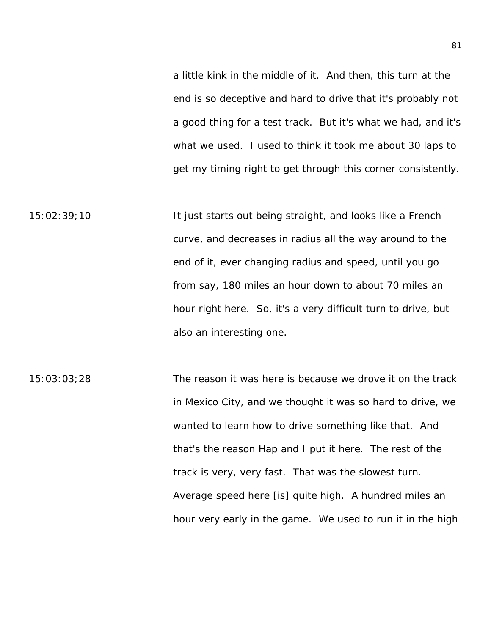a little kink in the middle of it. And then, this turn at the end is so deceptive and hard to drive that it's probably not a good thing for a test track. But it's what we had, and it's what we used. I used to think it took me about 30 laps to get my timing right to get through this corner consistently.

15:02:39;10 It just starts out being straight, and looks like a French curve, and decreases in radius all the way around to the end of it, ever changing radius and speed, until you go from say, 180 miles an hour down to about 70 miles an hour right here. So, it's a very difficult turn to drive, but also an interesting one.

15:03:03;28 The reason it was here is because we drove it on the track in Mexico City, and we thought it was so hard to drive, we wanted to learn how to drive something like that. And that's the reason Hap and I put it here. The rest of the track is very, very fast. That was the slowest turn. Average speed here [is] quite high. A hundred miles an hour very early in the game. We used to run it in the high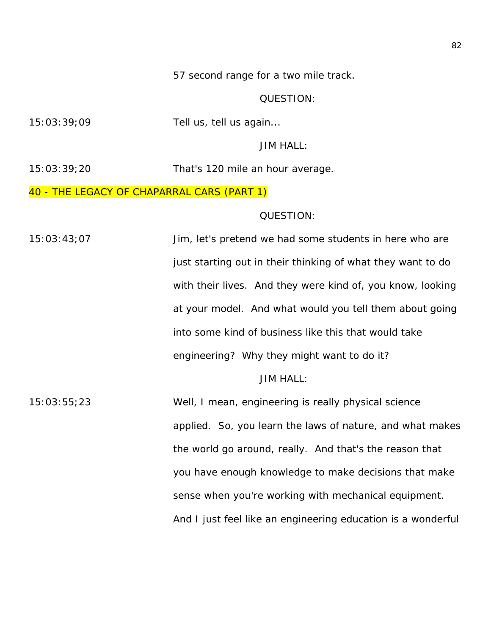57 second range for a two mile track.

# QUESTION:

15:03:39;09 Tell us, tell us again...

JIM HALL:

15:03:39;20 That's 120 mile an hour average.

# 40 - THE LEGACY OF CHAPARRAL CARS (PART 1)

### QUESTION:

15:03:43;07 Jim, let's pretend we had some students in here who are just starting out in their thinking of what they want to do with their lives. And they were kind of, you know, looking at your model. And what would you tell them about going into some kind of business like this that would take engineering? Why they might want to do it?

# JIM HALL:

15:03:55;23 Well, I mean, engineering is really physical science applied. So, you learn the laws of nature, and what makes the world go around, really. And that's the reason that you have enough knowledge to make decisions that make sense when you're working with mechanical equipment. And I just feel like an engineering education is a wonderful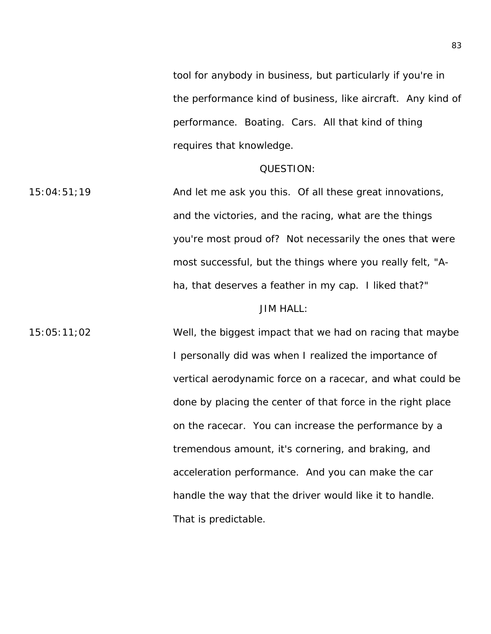tool for anybody in business, but particularly if you're in the performance kind of business, like aircraft. Any kind of performance. Boating. Cars. All that kind of thing requires that knowledge.

#### QUESTION:

15:04:51;19 And let me ask you this. Of all these great innovations, and the victories, and the racing, what are the things you're most proud of? Not necessarily the ones that were most successful, but the things where you really felt, "Aha, that deserves a feather in my cap. I liked that?" JIM HALL:

15:05:11;02 Well, the biggest impact that we had on racing that maybe I personally did was when I realized the importance of vertical aerodynamic force on a racecar, and what could be done by placing the center of that force in the right place on the racecar. You can increase the performance by a tremendous amount, it's cornering, and braking, and acceleration performance. And you can make the car handle the way that the driver would like it to handle. That is predictable.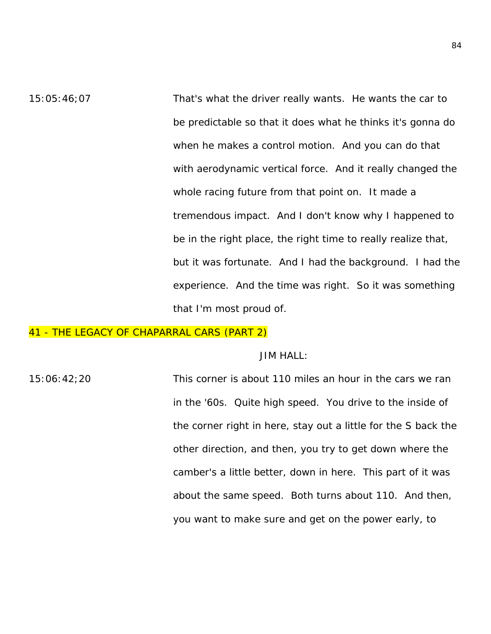15:05:46;07 That's what the driver really wants. He wants the car to be predictable so that it does what he thinks it's gonna do when he makes a control motion. And you can do that with aerodynamic vertical force. And it really changed the whole racing future from that point on. It made a tremendous impact. And I don't know why I happened to be in the right place, the right time to really realize that, but it was fortunate. And I had the background. I had the experience. And the time was right. So it was something that I'm most proud of.

# 41 - THE LEGACY OF CHAPARRAL CARS (PART 2)

#### JIM HALL:

15:06:42;20 This corner is about 110 miles an hour in the cars we ran in the '60s. Quite high speed. You drive to the inside of the corner right in here, stay out a little for the S back the other direction, and then, you try to get down where the camber's a little better, down in here. This part of it was about the same speed. Both turns about 110. And then, you want to make sure and get on the power early, to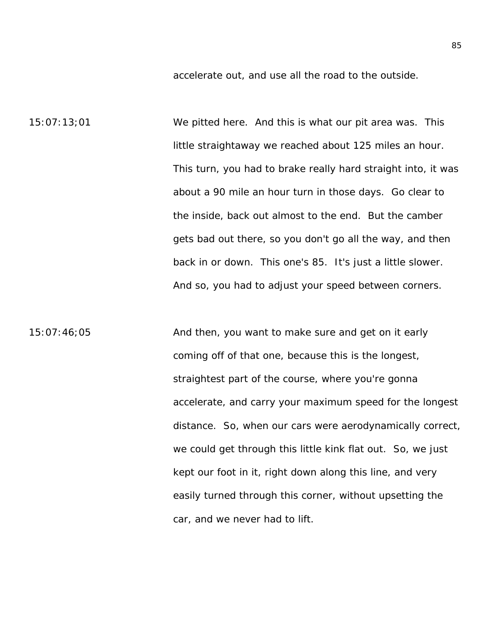accelerate out, and use all the road to the outside.

15:07:13;01 We pitted here. And this is what our pit area was. This little straightaway we reached about 125 miles an hour. This turn, you had to brake really hard straight into, it was about a 90 mile an hour turn in those days. Go clear to the inside, back out almost to the end. But the camber gets bad out there, so you don't go all the way, and then back in or down. This one's 85. It's just a little slower. And so, you had to adjust your speed between corners.

15:07:46;05 And then, you want to make sure and get on it early coming off of that one, because this is the longest, straightest part of the course, where you're gonna accelerate, and carry your maximum speed for the longest distance. So, when our cars were aerodynamically correct, we could get through this little kink flat out. So, we just kept our foot in it, right down along this line, and very easily turned through this corner, without upsetting the car, and we never had to lift.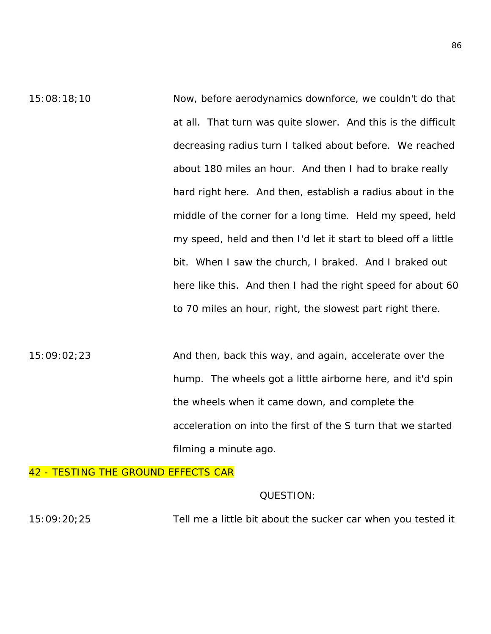15:08:18;10 Now, before aerodynamics downforce, we couldn't do that at all. That turn was quite slower. And this is the difficult decreasing radius turn I talked about before. We reached about 180 miles an hour. And then I had to brake really hard right here. And then, establish a radius about in the middle of the corner for a long time. Held my speed, held my speed, held and then I'd let it start to bleed off a little bit. When I saw the church, I braked. And I braked out here like this. And then I had the right speed for about 60 to 70 miles an hour, right, the slowest part right there.

15:09:02;23 And then, back this way, and again, accelerate over the hump. The wheels got a little airborne here, and it'd spin the wheels when it came down, and complete the acceleration on into the first of the S turn that we started filming a minute ago.

# 42 - TESTING THE GROUND EFFECTS CAR

## QUESTION:

15:09:20;25 Tell me a little bit about the sucker car when you tested it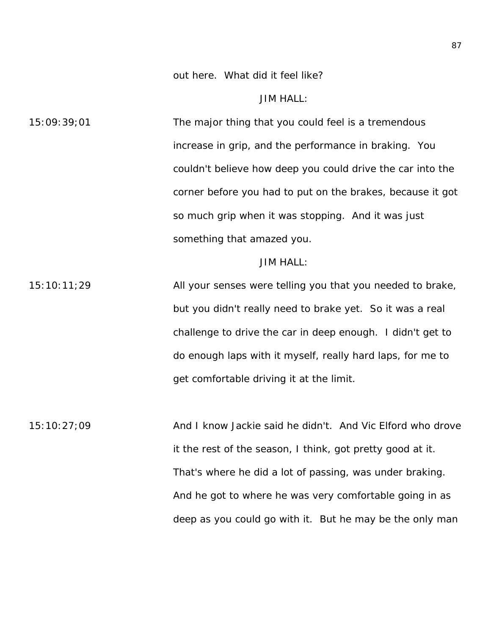out here. What did it feel like?

JIM HALL:

15:09:39;01 The major thing that you could feel is a tremendous increase in grip, and the performance in braking. You couldn't believe how deep you could drive the car into the corner before you had to put on the brakes, because it got so much grip when it was stopping. And it was just something that amazed you.

#### JIM HALL:

15:10:11;29 All your senses were telling you that you needed to brake, but you didn't really need to brake yet. So it was a real challenge to drive the car in deep enough. I didn't get to do enough laps with it myself, really hard laps, for me to get comfortable driving it at the limit.

15:10:27;09 And I know Jackie said he didn't. And Vic Elford who drove it the rest of the season, I think, got pretty good at it. That's where he did a lot of passing, was under braking. And he got to where he was very comfortable going in as deep as you could go with it. But he may be the only man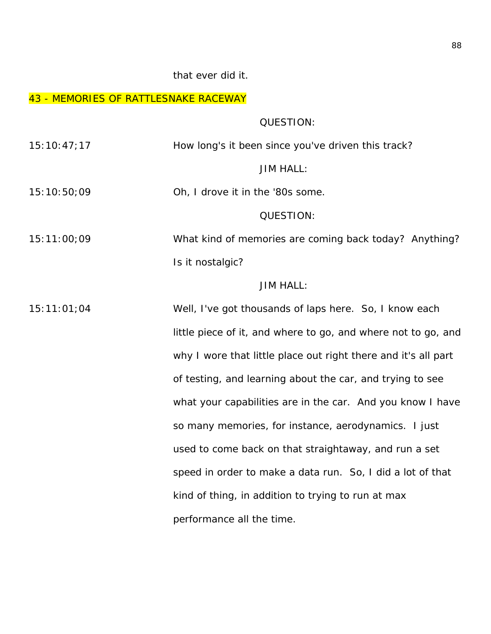# that ever did it.

# 43 - MEMORIES OF RATTLESNAKE RACEWAY

QUESTION:

| 15:10:47;17 | How long's it been since you've driven this track?             |
|-------------|----------------------------------------------------------------|
|             | <b>JIM HALL:</b>                                               |
| 15:10:50;09 | Oh, I drove it in the '80s some.                               |
|             | QUESTION:                                                      |
| 15:11:00:09 | What kind of memories are coming back today? Anything?         |
|             | Is it nostalgic?                                               |
|             | <b>JIM HALL:</b>                                               |
| 15:11:01;04 | Well, I've got thousands of laps here. So, I know each         |
|             | little piece of it, and where to go, and where not to go, and  |
|             | why I wore that little place out right there and it's all part |
|             | of testing, and learning about the car, and trying to see      |
|             | what your capabilities are in the car. And you know I have     |
|             | so many memories, for instance, aerodynamics. I just           |
|             | used to come back on that straightaway, and run a set          |
|             | speed in order to make a data run. So, I did a lot of that     |
|             | kind of thing, in addition to trying to run at max             |
|             | performance all the time.                                      |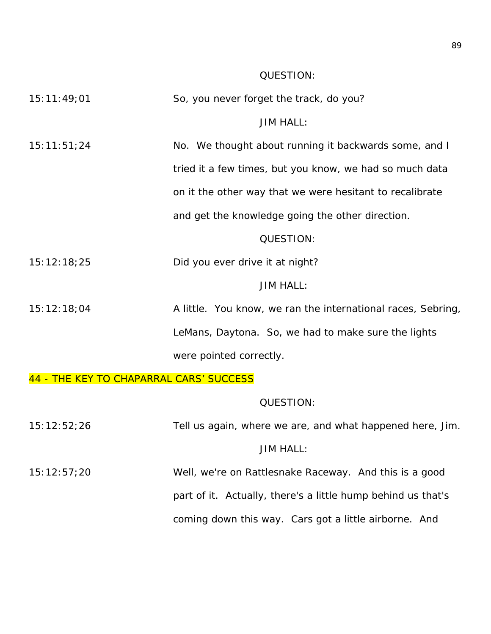# QUESTION:

| 15:11:49;01 | So, you never forget the track, do you?                      |
|-------------|--------------------------------------------------------------|
|             | <b>JIM HALL:</b>                                             |
| 15:11:51;24 | No. We thought about running it backwards some, and I        |
|             | tried it a few times, but you know, we had so much data      |
|             | on it the other way that we were hesitant to recalibrate     |
|             | and get the knowledge going the other direction.             |
|             | QUESTION:                                                    |
| 15:12:18;25 | Did you ever drive it at night?                              |
|             | <b>JIM HALL:</b>                                             |
| 15:12:18;04 | A little. You know, we ran the international races, Sebring, |
|             | LeMans, Daytona. So, we had to make sure the lights          |
|             | were pointed correctly.                                      |
|             |                                                              |

# 44 - THE KEY TO CHAPARRAL CARS' SUCCESS

# QUESTION:

| 15:12:52;26 | Tell us again, where we are, and what happened here, Jim.    |
|-------------|--------------------------------------------------------------|
|             | <b>JIM HALL:</b>                                             |
| 15:12:57;20 | Well, we're on Rattlesnake Raceway. And this is a good       |
|             | part of it. Actually, there's a little hump behind us that's |
|             | coming down this way. Cars got a little airborne. And        |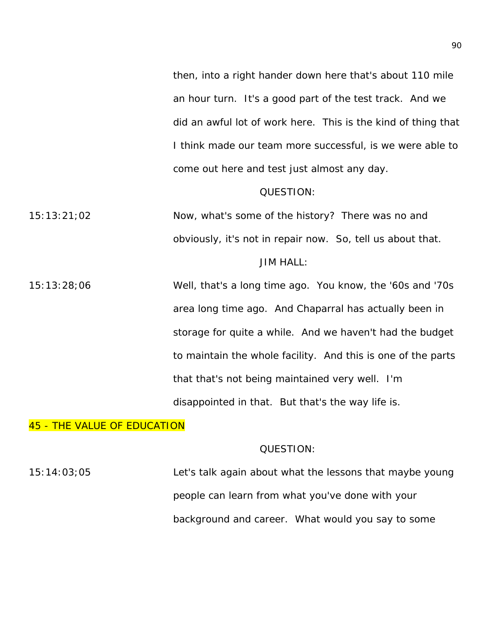then, into a right hander down here that's about 110 mile an hour turn. It's a good part of the test track. And we did an awful lot of work here. This is the kind of thing that I think made our team more successful, is we were able to come out here and test just almost any day.

#### QUESTION:

15:13:21;02 Now, what's some of the history? There was no and obviously, it's not in repair now. So, tell us about that. JIM HALL:

15:13:28;06 Well, that's a long time ago. You know, the '60s and '70s area long time ago. And Chaparral has actually been in storage for quite a while. And we haven't had the budget to maintain the whole facility. And this is one of the parts that that's not being maintained very well. I'm disappointed in that. But that's the way life is.

# 45 - THE VALUE OF EDUCATION

# QUESTION:

15:14:03;05 Let's talk again about what the lessons that maybe young people can learn from what you've done with your background and career. What would you say to some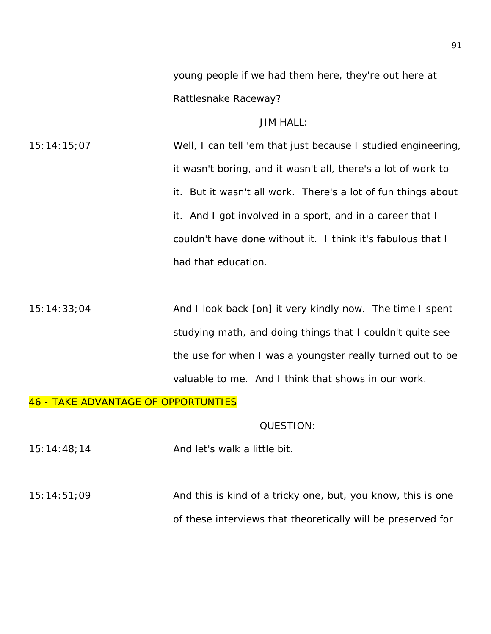young people if we had them here, they're out here at Rattlesnake Raceway?

# JIM HALL:

15:14:15;07 Well, I can tell 'em that just because I studied engineering, it wasn't boring, and it wasn't all, there's a lot of work to it. But it wasn't all work. There's a lot of fun things about it. And I got involved in a sport, and in a career that I couldn't have done without it. I think it's fabulous that I had that education.

15:14:33;04 And I look back [on] it very kindly now. The time I spent studying math, and doing things that I couldn't quite see the use for when I was a youngster really turned out to be valuable to me. And I think that shows in our work.

# 46 - TAKE ADVANTAGE OF OPPORTUNTIES

#### QUESTION:

 $15:14:48;14$  And let's walk a little bit.

15:14:51;09 And this is kind of a tricky one, but, you know, this is one of these interviews that theoretically will be preserved for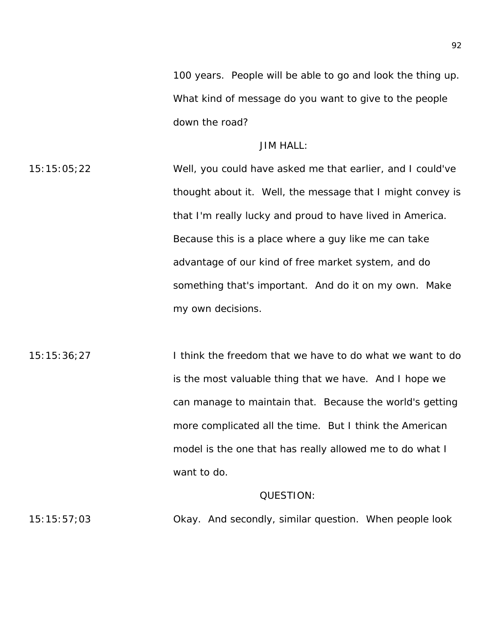100 years. People will be able to go and look the thing up. What kind of message do you want to give to the people down the road?

# JIM HALL:

15:15:05;22 Well, you could have asked me that earlier, and I could've thought about it. Well, the message that I might convey is that I'm really lucky and proud to have lived in America. Because this is a place where a guy like me can take advantage of our kind of free market system, and do something that's important. And do it on my own. Make my own decisions.

15:15:36;27 I think the freedom that we have to do what we want to do is the most valuable thing that we have. And I hope we can manage to maintain that. Because the world's getting more complicated all the time. But I think the American model is the one that has really allowed me to do what I want to do.

# QUESTION:

15:15:57;03 Okay. And secondly, similar question. When people look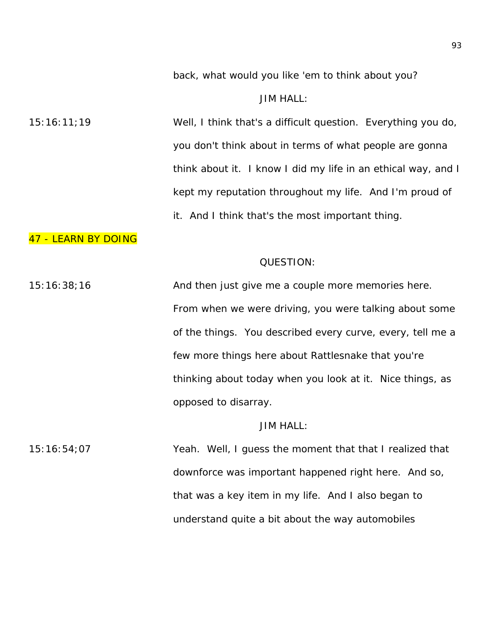back, what would you like 'em to think about you?

### JIM HALL:

15:16:11;19 Well, I think that's a difficult question. Everything you do, you don't think about in terms of what people are gonna think about it. I know I did my life in an ethical way, and I kept my reputation throughout my life. And I'm proud of it. And I think that's the most important thing.

# 47 - LEARN BY DOING

# QUESTION:

15:16:38;16 And then just give me a couple more memories here. From when we were driving, you were talking about some of the things. You described every curve, every, tell me a few more things here about Rattlesnake that you're thinking about today when you look at it. Nice things, as opposed to disarray.

# JIM HALL:

15:16:54;07 Yeah. Well, I guess the moment that that I realized that downforce was important happened right here. And so, that was a key item in my life. And I also began to understand quite a bit about the way automobiles